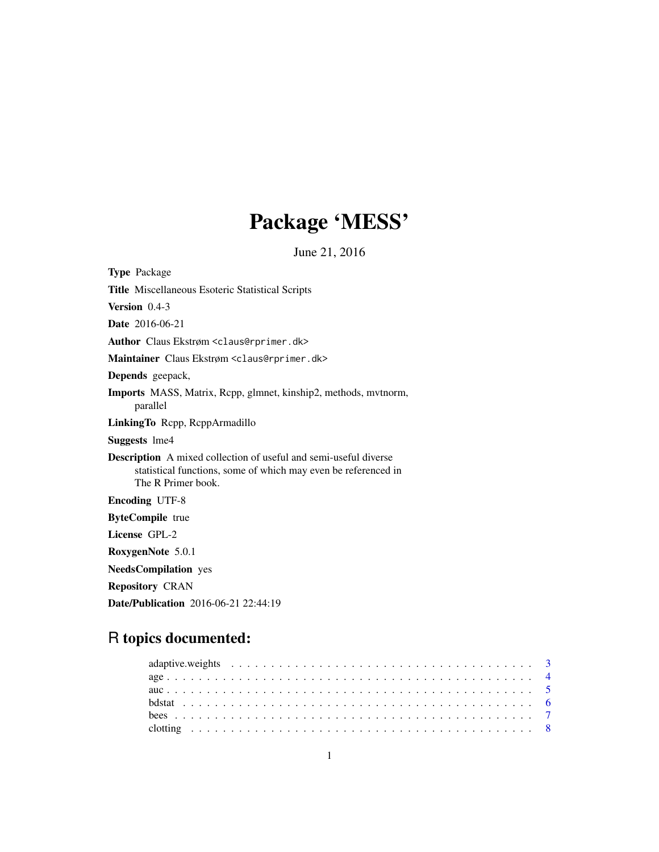# Package 'MESS'

June 21, 2016

<span id="page-0-0"></span>

| <b>Type Package</b>                                                                                                                                             |
|-----------------------------------------------------------------------------------------------------------------------------------------------------------------|
| <b>Title Miscellaneous Esoteric Statistical Scripts</b>                                                                                                         |
| Version $0.4-3$                                                                                                                                                 |
| <b>Date</b> 2016-06-21                                                                                                                                          |
| Author Claus Ekstrøm <claus@rprimer.dk></claus@rprimer.dk>                                                                                                      |
| Maintainer Claus Ekstrøm <claus@rprimer.dk></claus@rprimer.dk>                                                                                                  |
| Depends geepack,                                                                                                                                                |
| <b>Imports</b> MASS, Matrix, Repp, glmnet, kinship2, methods, mytnorm,<br>parallel                                                                              |
| LinkingTo Repp, ReppArmadillo                                                                                                                                   |
| <b>Suggests</b> lme4                                                                                                                                            |
| <b>Description</b> A mixed collection of useful and semi-useful diverse<br>statistical functions, some of which may even be referenced in<br>The R Primer book. |
| <b>Encoding UTF-8</b>                                                                                                                                           |
| <b>ByteCompile</b> true                                                                                                                                         |
| License GPL-2                                                                                                                                                   |
| RoxygenNote 5.0.1                                                                                                                                               |
| <b>NeedsCompilation</b> yes                                                                                                                                     |
| <b>Repository CRAN</b>                                                                                                                                          |
| <b>Date/Publication</b> 2016-06-21 22:44:19                                                                                                                     |

## R topics documented: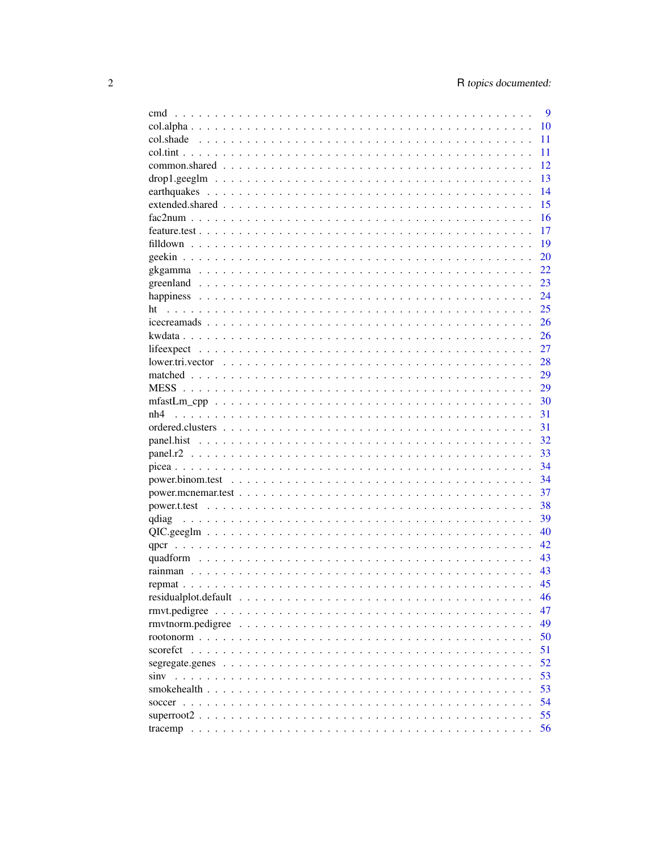|                                                                         | 9  |
|-------------------------------------------------------------------------|----|
|                                                                         | 10 |
|                                                                         | 11 |
|                                                                         | 11 |
|                                                                         | 12 |
|                                                                         | 13 |
|                                                                         | 14 |
|                                                                         | 15 |
|                                                                         | 16 |
|                                                                         | 17 |
|                                                                         | 19 |
|                                                                         | 20 |
|                                                                         | 22 |
|                                                                         | 23 |
|                                                                         | 24 |
|                                                                         | 25 |
|                                                                         | 26 |
|                                                                         | 26 |
|                                                                         | 27 |
|                                                                         | 28 |
|                                                                         | 29 |
|                                                                         | 29 |
|                                                                         | 30 |
| nh4                                                                     | 31 |
|                                                                         | 31 |
|                                                                         | 32 |
|                                                                         | 33 |
|                                                                         | 34 |
|                                                                         | 34 |
|                                                                         | 37 |
|                                                                         | 38 |
|                                                                         | 39 |
|                                                                         | 40 |
|                                                                         | 42 |
|                                                                         | 43 |
|                                                                         | 43 |
|                                                                         | 45 |
|                                                                         | 46 |
|                                                                         | 47 |
| rmytnorm.pedigree                                                       | 49 |
|                                                                         | 50 |
| scorefct<br>$\mathbf{1}$ and $\mathbf{1}$ and $\mathbf{1}$              | 51 |
| segregate.genes                                                         | 52 |
| siny<br>$\mathbf{r}$ and $\mathbf{r}$ and $\mathbf{r}$ and $\mathbf{r}$ | 53 |
| smokehealth                                                             | 53 |
|                                                                         | 54 |
|                                                                         | 55 |
|                                                                         | 56 |
|                                                                         |    |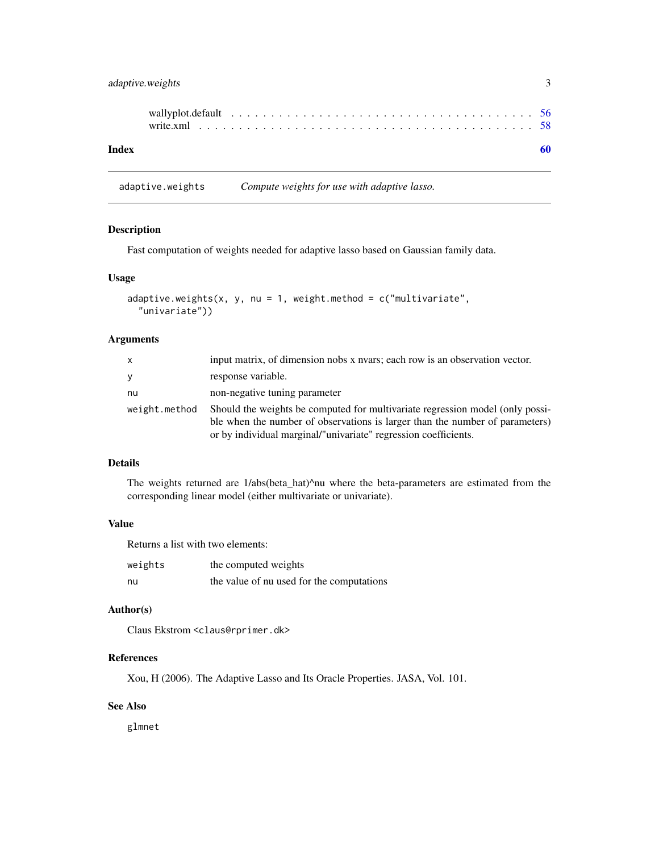<span id="page-2-0"></span>

| Index |  |  |  |  |  |  |  |  |  |  |  |  |  |  |  |  |
|-------|--|--|--|--|--|--|--|--|--|--|--|--|--|--|--|--|

adaptive.weights *Compute weights for use with adaptive lasso.*

#### Description

Fast computation of weights needed for adaptive lasso based on Gaussian family data.

#### Usage

```
adaptive.weights(x, y, nu = 1, weight.method = c("multiplicative","univariate"))
```
#### Arguments

| X             | input matrix, of dimension nobs x nyars; each row is an observation vector.                                                                                                                                                      |
|---------------|----------------------------------------------------------------------------------------------------------------------------------------------------------------------------------------------------------------------------------|
| y             | response variable.                                                                                                                                                                                                               |
| nu            | non-negative tuning parameter                                                                                                                                                                                                    |
| weight.method | Should the weights be computed for multivariate regression model (only possi-<br>ble when the number of observations is larger than the number of parameters)<br>or by individual marginal/"univariate" regression coefficients. |

#### Details

The weights returned are 1/abs(beta\_hat)^nu where the beta-parameters are estimated from the corresponding linear model (either multivariate or univariate).

#### Value

Returns a list with two elements:

| weights | the computed weights                      |
|---------|-------------------------------------------|
| nu      | the value of nu used for the computations |

#### Author(s)

Claus Ekstrom <claus@rprimer.dk>

#### References

Xou, H (2006). The Adaptive Lasso and Its Oracle Properties. JASA, Vol. 101.

#### See Also

glmnet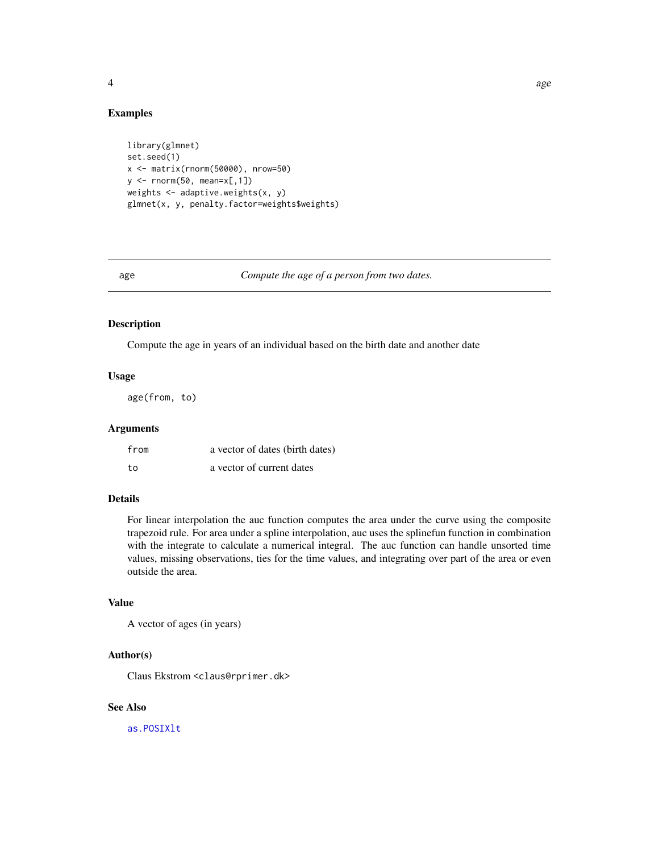#### <span id="page-3-0"></span>Examples

```
library(glmnet)
set.seed(1)
x <- matrix(rnorm(50000), nrow=50)
y <- rnorm(50, mean=x[,1])
weights \leq adaptive.weights(x, y)
glmnet(x, y, penalty.factor=weights$weights)
```
age *Compute the age of a person from two dates.*

#### Description

Compute the age in years of an individual based on the birth date and another date

#### Usage

age(from, to)

#### Arguments

| from | a vector of dates (birth dates) |
|------|---------------------------------|
| to   | a vector of current dates       |

#### Details

For linear interpolation the auc function computes the area under the curve using the composite trapezoid rule. For area under a spline interpolation, auc uses the splinefun function in combination with the integrate to calculate a numerical integral. The auc function can handle unsorted time values, missing observations, ties for the time values, and integrating over part of the area or even outside the area.

#### Value

A vector of ages (in years)

#### Author(s)

Claus Ekstrom <claus@rprimer.dk>

#### See Also

[as.POSIXlt](#page-0-0)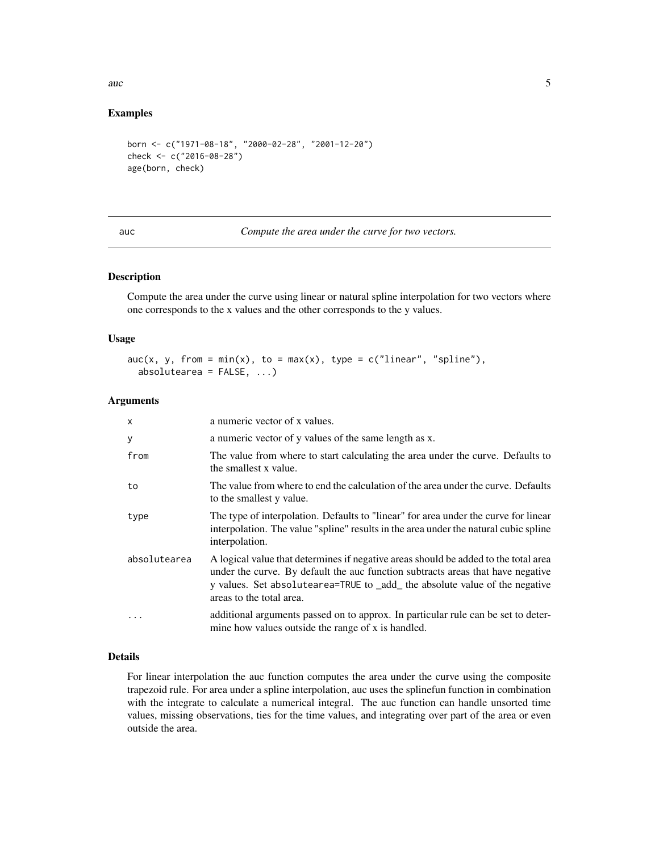<span id="page-4-0"></span> $\frac{1}{5}$  auch  $\frac{1}{5}$   $\frac{1}{5}$   $\frac{1}{5}$   $\frac{1}{5}$   $\frac{1}{5}$   $\frac{1}{5}$   $\frac{1}{5}$   $\frac{1}{5}$   $\frac{1}{5}$   $\frac{1}{5}$   $\frac{1}{5}$   $\frac{1}{5}$   $\frac{1}{5}$   $\frac{1}{5}$   $\frac{1}{5}$   $\frac{1}{5}$   $\frac{1}{5}$   $\frac{1}{5}$   $\frac{1}{5}$   $\frac{1}{5}$   $\frac{1}{$ 

#### Examples

```
born <- c("1971-08-18", "2000-02-28", "2001-12-20")
check <- c("2016-08-28")
age(born, check)
```
auc *Compute the area under the curve for two vectors.*

#### Description

Compute the area under the curve using linear or natural spline interpolation for two vectors where one corresponds to the x values and the other corresponds to the y values.

#### Usage

```
\text{auc}(x, y, \text{ from } = \min(x), \text{ to } = \max(x), \text{ type } = \text{c("linear", "spline"), }absolutearea = FALSE, ...)
```
#### Arguments

| X            | a numeric vector of x values.                                                                                                                                                                                                                                                      |
|--------------|------------------------------------------------------------------------------------------------------------------------------------------------------------------------------------------------------------------------------------------------------------------------------------|
| У            | a numeric vector of y values of the same length as x.                                                                                                                                                                                                                              |
| from         | The value from where to start calculating the area under the curve. Defaults to<br>the smallest x value.                                                                                                                                                                           |
| to           | The value from where to end the calculation of the area under the curve. Defaults<br>to the smallest y value.                                                                                                                                                                      |
| type         | The type of interpolation. Defaults to "linear" for area under the curve for linear<br>interpolation. The value "spline" results in the area under the natural cubic spline<br>interpolation.                                                                                      |
| absolutearea | A logical value that determines if negative areas should be added to the total area<br>under the curve. By default the auc function subtracts areas that have negative<br>y values. Set absolute area=TRUE to _add_ the absolute value of the negative<br>areas to the total area. |
|              | additional arguments passed on to approx. In particular rule can be set to deter-<br>mine how values outside the range of x is handled.                                                                                                                                            |

#### Details

For linear interpolation the auc function computes the area under the curve using the composite trapezoid rule. For area under a spline interpolation, auc uses the splinefun function in combination with the integrate to calculate a numerical integral. The auc function can handle unsorted time values, missing observations, ties for the time values, and integrating over part of the area or even outside the area.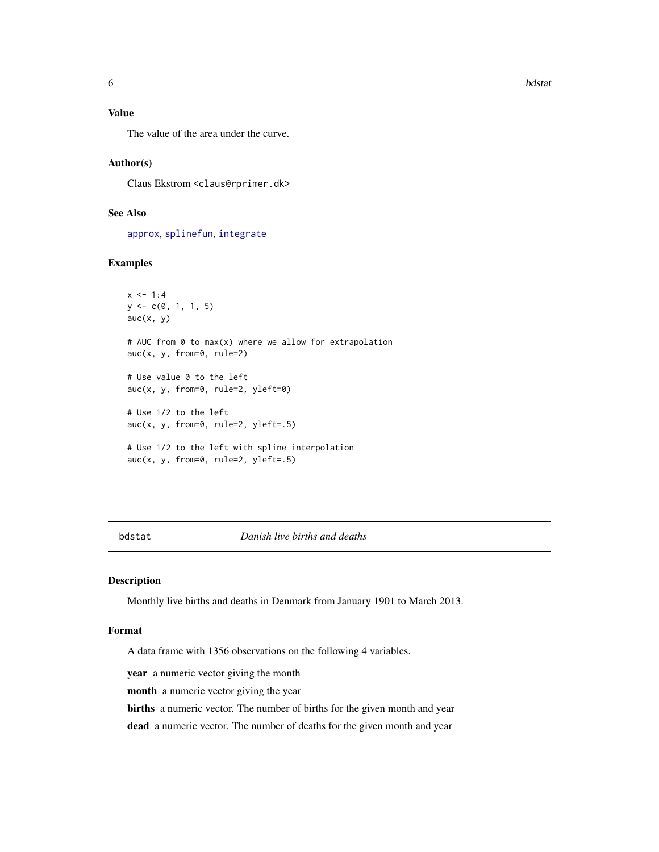<span id="page-5-0"></span>**6** bdstat **b**dstat **b**dstat **bdstat bdstat bdstat bdstat bdstat bdstat bdstat bdstat bdstat bdstat bdstat bdstat bdstat bdstat bdstat bdstat bdstat bdstat bdstat bdstat bdstat bds** 

#### Value

The value of the area under the curve.

#### Author(s)

Claus Ekstrom <claus@rprimer.dk>

#### See Also

[approx](#page-0-0), [splinefun](#page-0-0), [integrate](#page-0-0)

#### Examples

```
x < -1:4y \leq -c(0, 1, 1, 5)auc(x, y)# AUC from 0 to max(x) where we allow for extrapolation
auc(x, y, from=0, rule=2)
# Use value 0 to the left
auc(x, y, from=0, rule=2, yleft=0)
# Use 1/2 to the left
auc(x, y, from=0, rule=2, yleft=.5)
# Use 1/2 to the left with spline interpolation
auc(x, y, from=0, rule=2, yleft=0)
```
bdstat *Danish live births and deaths*

#### Description

Monthly live births and deaths in Denmark from January 1901 to March 2013.

#### Format

A data frame with 1356 observations on the following 4 variables.

year a numeric vector giving the month

month a numeric vector giving the year

births a numeric vector. The number of births for the given month and year

dead a numeric vector. The number of deaths for the given month and year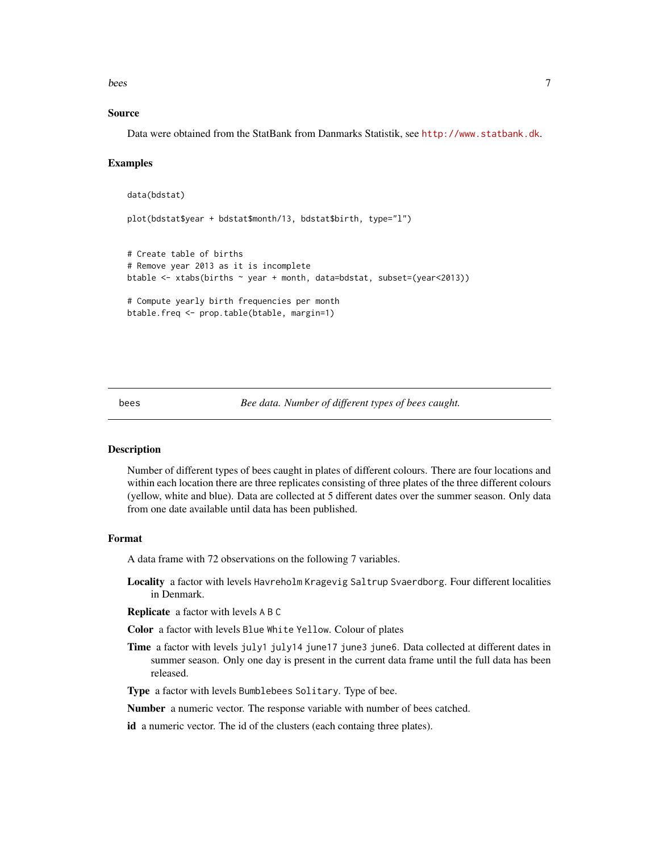<span id="page-6-0"></span>bees 7

#### Source

Data were obtained from the StatBank from Danmarks Statistik, see <http://www.statbank.dk>.

#### Examples

```
data(bdstat)
plot(bdstat$year + bdstat$month/13, bdstat$birth, type="l")
# Create table of births
# Remove year 2013 as it is incomplete
btable <- xtabs(births ~ year + month, data=bdstat, subset=(year<2013))
# Compute yearly birth frequencies per month
btable.freq <- prop.table(btable, margin=1)
```
bees *Bee data. Number of different types of bees caught.*

#### Description

Number of different types of bees caught in plates of different colours. There are four locations and within each location there are three replicates consisting of three plates of the three different colours (yellow, white and blue). Data are collected at 5 different dates over the summer season. Only data from one date available until data has been published.

#### Format

A data frame with 72 observations on the following 7 variables.

Locality a factor with levels Havreholm Kragevig Saltrup Svaerdborg. Four different localities in Denmark.

Replicate a factor with levels A B C

Color a factor with levels Blue White Yellow. Colour of plates

Time a factor with levels july1 july14 june17 june3 june6. Data collected at different dates in summer season. Only one day is present in the current data frame until the full data has been released.

Type a factor with levels Bumblebees Solitary. Type of bee.

Number a numeric vector. The response variable with number of bees catched.

id a numeric vector. The id of the clusters (each containg three plates).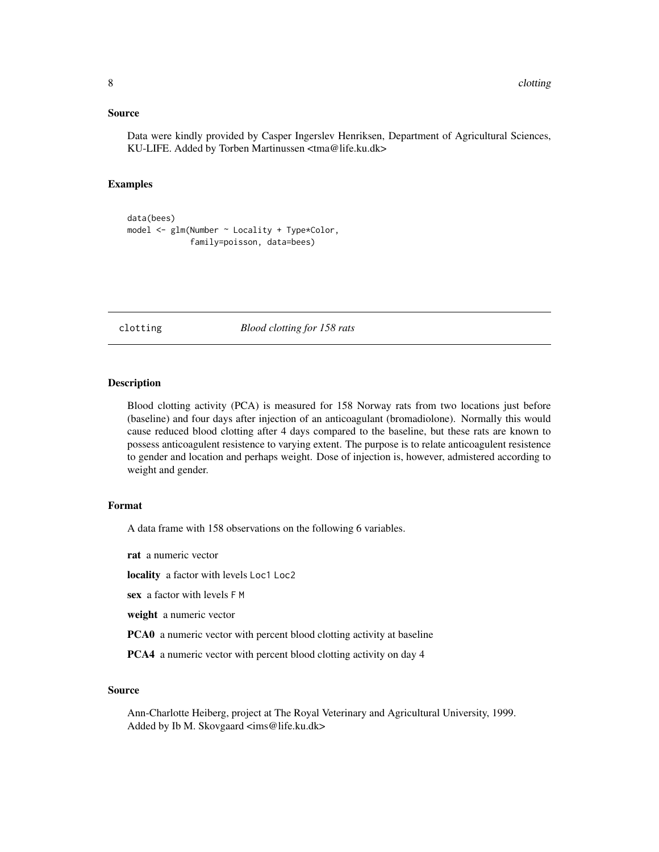#### <span id="page-7-0"></span>Source

Data were kindly provided by Casper Ingerslev Henriksen, Department of Agricultural Sciences, KU-LIFE. Added by Torben Martinussen <tma@life.ku.dk>

#### Examples

```
data(bees)
model <- glm(Number ~ Locality + Type*Color,
             family=poisson, data=bees)
```
clotting *Blood clotting for 158 rats*

#### Description

Blood clotting activity (PCA) is measured for 158 Norway rats from two locations just before (baseline) and four days after injection of an anticoagulant (bromadiolone). Normally this would cause reduced blood clotting after 4 days compared to the baseline, but these rats are known to possess anticoagulent resistence to varying extent. The purpose is to relate anticoagulent resistence to gender and location and perhaps weight. Dose of injection is, however, admistered according to weight and gender.

#### Format

A data frame with 158 observations on the following 6 variables.

rat a numeric vector

locality a factor with levels Loc1 Loc2

sex a factor with levels F M

weight a numeric vector

PCA0 a numeric vector with percent blood clotting activity at baseline

PCA4 a numeric vector with percent blood clotting activity on day 4

#### Source

Ann-Charlotte Heiberg, project at The Royal Veterinary and Agricultural University, 1999. Added by Ib M. Skovgaard <ims@life.ku.dk>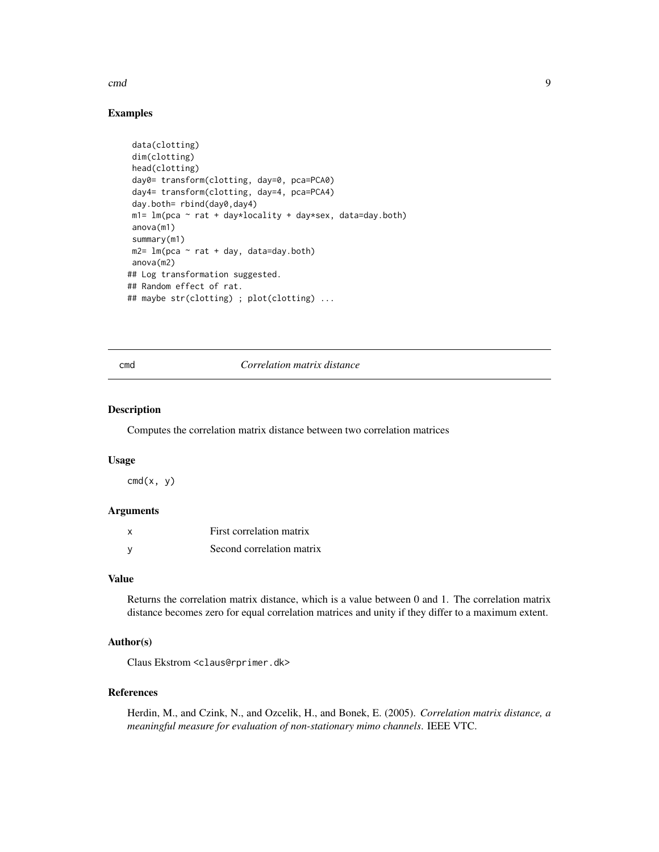#### <span id="page-8-0"></span>cmd 9

#### Examples

```
data(clotting)
dim(clotting)
head(clotting)
day0= transform(clotting, day=0, pca=PCA0)
day4= transform(clotting, day=4, pca=PCA4)
day.both= rbind(day0,day4)
m1= lm(pca \sim rat + day*locality + day*sex, data=day.both)
anova(m1)
summary(m1)
m2= lm(pca \sim rat + day, data=day.both)
anova(m2)
## Log transformation suggested.
## Random effect of rat.
## maybe str(clotting) ; plot(clotting) ...
```
#### cmd *Correlation matrix distance*

#### Description

Computes the correlation matrix distance between two correlation matrices

#### Usage

 $cmd(x, y)$ 

#### Arguments

|   | First correlation matrix  |
|---|---------------------------|
| ٧ | Second correlation matrix |

#### Value

Returns the correlation matrix distance, which is a value between 0 and 1. The correlation matrix distance becomes zero for equal correlation matrices and unity if they differ to a maximum extent.

#### Author(s)

Claus Ekstrom <claus@rprimer.dk>

#### References

Herdin, M., and Czink, N., and Ozcelik, H., and Bonek, E. (2005). *Correlation matrix distance, a meaningful measure for evaluation of non-stationary mimo channels*. IEEE VTC.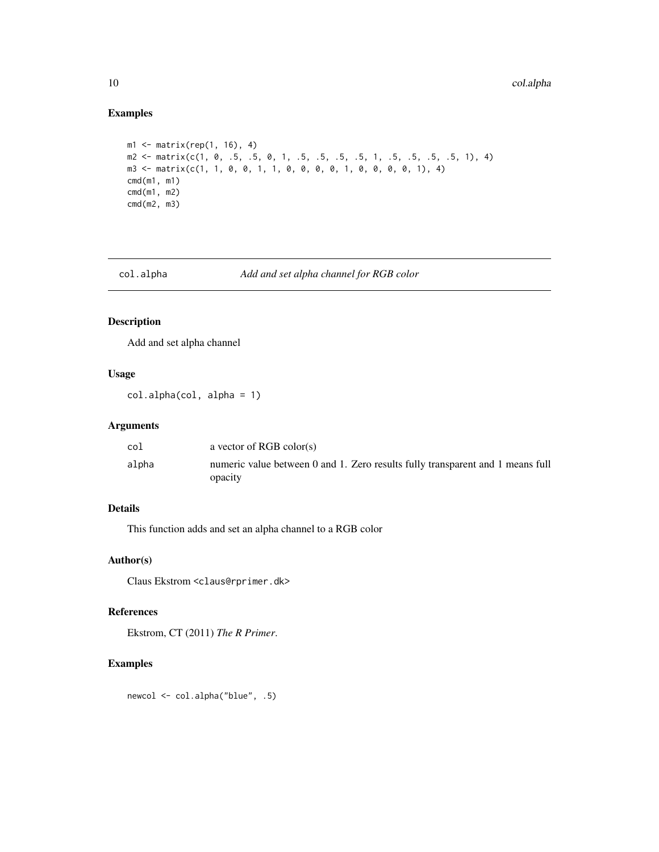#### Examples

```
m1 <- matrix(rep(1, 16), 4)
m2 \le matrix \text{matrix}(c(1, 0, .5, .5, 0, 1, .5, .5, .5, .5, 1, .5, .5, .5, .5, 1), 4)m3 <- matrix(c(1, 1, 0, 0, 1, 1, 0, 0, 0, 0, 1, 0, 0, 0, 0, 1), 4)
cmd(m1, m1)
cmd(m1, m2)
cmd(m2, m3)
```
col.alpha *Add and set alpha channel for RGB color*

#### Description

Add and set alpha channel

#### Usage

col.alpha(col, alpha = 1)

#### Arguments

| col   | a vector of RGB color(s)                                                       |
|-------|--------------------------------------------------------------------------------|
| alpha | numeric value between 0 and 1. Zero results fully transparent and 1 means full |
|       | opacity                                                                        |

#### Details

This function adds and set an alpha channel to a RGB color

#### Author(s)

Claus Ekstrom <claus@rprimer.dk>

#### References

Ekstrom, CT (2011) *The R Primer*.

#### Examples

newcol <- col.alpha("blue", .5)

<span id="page-9-0"></span>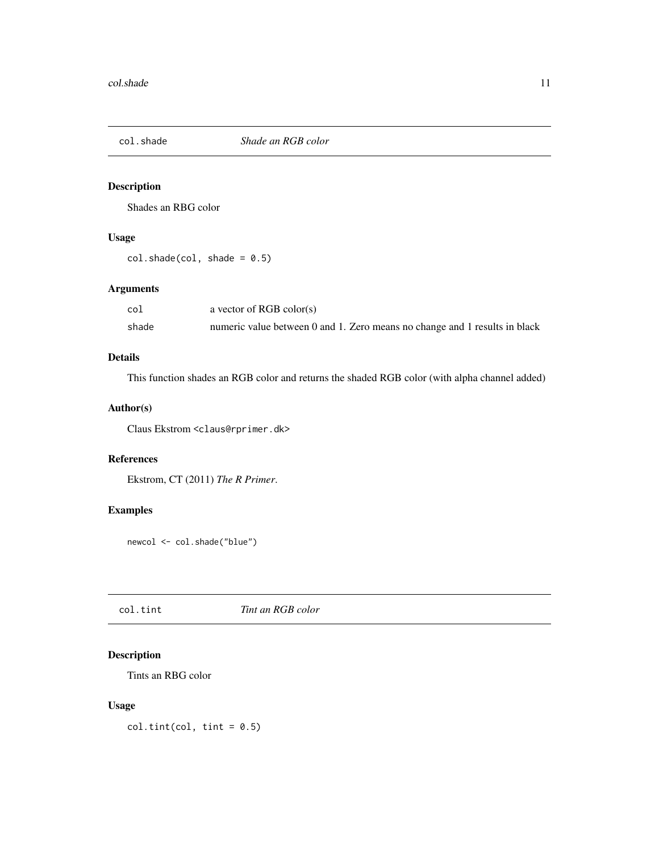<span id="page-10-0"></span>

Shades an RBG color

#### Usage

 $col.shape,col, shade = 0.5)$ 

#### Arguments

| col   | a vector of RGB color(s)                                                   |
|-------|----------------------------------------------------------------------------|
| shade | numeric value between 0 and 1. Zero means no change and 1 results in black |

#### Details

This function shades an RGB color and returns the shaded RGB color (with alpha channel added)

#### Author(s)

Claus Ekstrom <claus@rprimer.dk>

#### References

Ekstrom, CT (2011) *The R Primer*.

#### Examples

newcol <- col.shade("blue")

col.tint *Tint an RGB color*

#### Description

Tints an RBG color

#### Usage

 $col.tint(col, tint = 0.5)$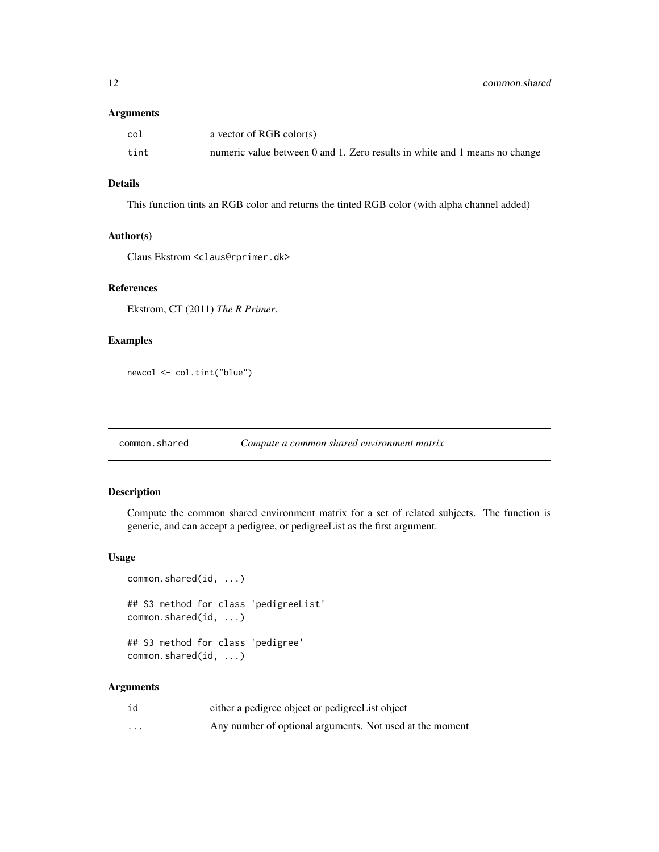#### <span id="page-11-0"></span>Arguments

| $_{\rm col}$ | a vector of RGB color(s)                                                   |
|--------------|----------------------------------------------------------------------------|
| tint         | numeric value between 0 and 1. Zero results in white and 1 means no change |

#### Details

This function tints an RGB color and returns the tinted RGB color (with alpha channel added)

#### Author(s)

Claus Ekstrom <claus@rprimer.dk>

#### References

Ekstrom, CT (2011) *The R Primer*.

#### Examples

newcol <- col.tint("blue")

#### Description

Compute the common shared environment matrix for a set of related subjects. The function is generic, and can accept a pedigree, or pedigreeList as the first argument.

#### Usage

```
common.shared(id, ...)
## S3 method for class 'pedigreeList'
common.shared(id, ...)
## S3 method for class 'pedigree'
common.shared(id, ...)
```
#### Arguments

| id       | either a pedigree object or pedigreeList object          |
|----------|----------------------------------------------------------|
| $\cdots$ | Any number of optional arguments. Not used at the moment |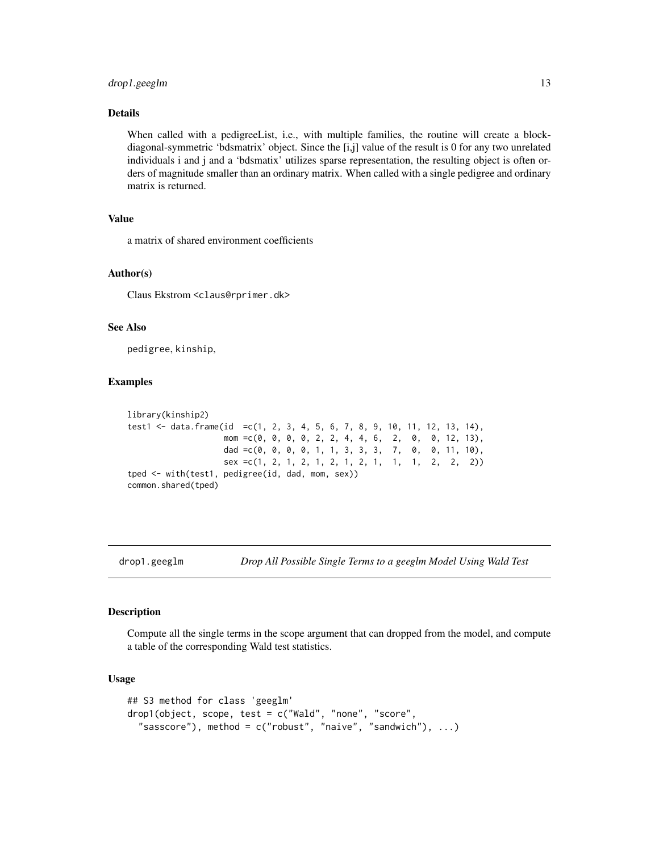#### <span id="page-12-0"></span>drop1.geeglm 13

#### Details

When called with a pedigreeList, i.e., with multiple families, the routine will create a blockdiagonal-symmetric 'bdsmatrix' object. Since the [i,j] value of the result is 0 for any two unrelated individuals i and j and a 'bdsmatix' utilizes sparse representation, the resulting object is often orders of magnitude smaller than an ordinary matrix. When called with a single pedigree and ordinary matrix is returned.

#### Value

a matrix of shared environment coefficients

#### Author(s)

Claus Ekstrom <claus@rprimer.dk>

#### See Also

pedigree, kinship,

#### Examples

```
library(kinship2)
test1 <- data.frame(id =c(1, 2, 3, 4, 5, 6, 7, 8, 9, 10, 11, 12, 13, 14),
                   mom =c(0, 0, 0, 0, 2, 2, 4, 4, 6, 2, 0, 0, 12, 13),
                   dad =c(0, 0, 0, 0, 1, 1, 3, 3, 3, 7, 0, 0, 11, 10),
                   sex =c(1, 2, 1, 2, 1, 2, 1, 2, 1, 1, 1, 2, 2, 2))
tped <- with(test1, pedigree(id, dad, mom, sex))
common.shared(tped)
```
drop1.geeglm *Drop All Possible Single Terms to a geeglm Model Using Wald Test*

#### Description

Compute all the single terms in the scope argument that can dropped from the model, and compute a table of the corresponding Wald test statistics.

#### Usage

```
## S3 method for class 'geeglm'
drop1(object, scope, test = c("Wald", "none", "score",
  "sasscore"), method = c("robust", "naive", "sandwich"), ...)
```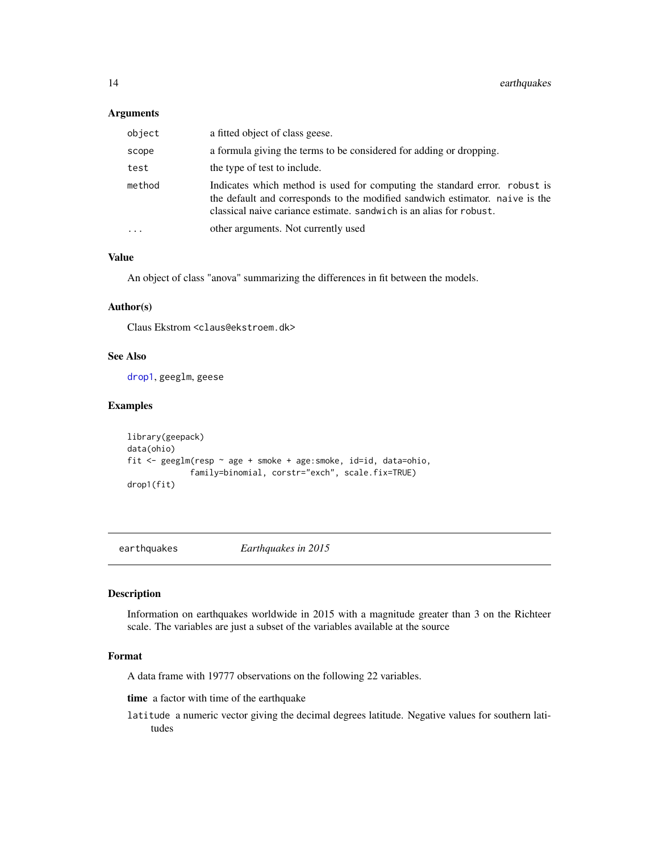#### <span id="page-13-0"></span>Arguments

| object | a fitted object of class geese.                                                                                                                                                                                                   |
|--------|-----------------------------------------------------------------------------------------------------------------------------------------------------------------------------------------------------------------------------------|
| scope  | a formula giving the terms to be considered for adding or dropping.                                                                                                                                                               |
| test   | the type of test to include.                                                                                                                                                                                                      |
| method | Indicates which method is used for computing the standard error. robust is<br>the default and corresponds to the modified sandwich estimator. naive is the<br>classical naive cariance estimate, sandwich is an alias for robust. |
|        | other arguments. Not currently used                                                                                                                                                                                               |

#### Value

An object of class "anova" summarizing the differences in fit between the models.

#### Author(s)

Claus Ekstrom <claus@ekstroem.dk>

#### See Also

[drop1](#page-0-0), geeglm, geese

#### Examples

```
library(geepack)
data(ohio)
fit <- geeglm(resp ~ age + smoke + age:smoke, id=id, data=ohio,
             family=binomial, corstr="exch", scale.fix=TRUE)
drop1(fit)
```
earthquakes *Earthquakes in 2015*

#### Description

Information on earthquakes worldwide in 2015 with a magnitude greater than 3 on the Richteer scale. The variables are just a subset of the variables available at the source

#### Format

A data frame with 19777 observations on the following 22 variables.

time a factor with time of the earthquake

latitude a numeric vector giving the decimal degrees latitude. Negative values for southern latitudes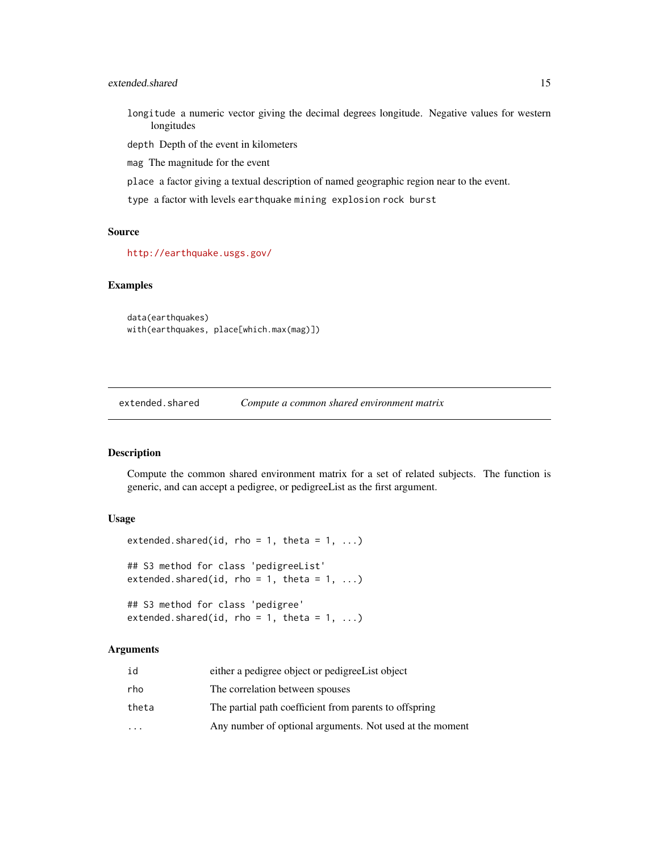#### <span id="page-14-0"></span>extended.shared 15

longitude a numeric vector giving the decimal degrees longitude. Negative values for western longitudes

depth Depth of the event in kilometers

mag The magnitude for the event

place a factor giving a textual description of named geographic region near to the event.

type a factor with levels earthquake mining explosion rock burst

#### Source

<http://earthquake.usgs.gov/>

#### Examples

data(earthquakes) with(earthquakes, place[which.max(mag)])

extended.shared *Compute a common shared environment matrix*

#### Description

Compute the common shared environment matrix for a set of related subjects. The function is generic, and can accept a pedigree, or pedigreeList as the first argument.

#### Usage

```
extended.shared(id, rho = 1, theta = 1, ...)
## S3 method for class 'pedigreeList'
extended.shared(id, rho = 1, theta = 1, ...)
## S3 method for class 'pedigree'
```
extended.shared(id, rho = 1, theta =  $1, ...$ )

#### Arguments

| id       | either a pedigree object or pedigree List object         |
|----------|----------------------------------------------------------|
| rho      | The correlation between spouses                          |
| theta    | The partial path coefficient from parents to offspring   |
| $\cdots$ | Any number of optional arguments. Not used at the moment |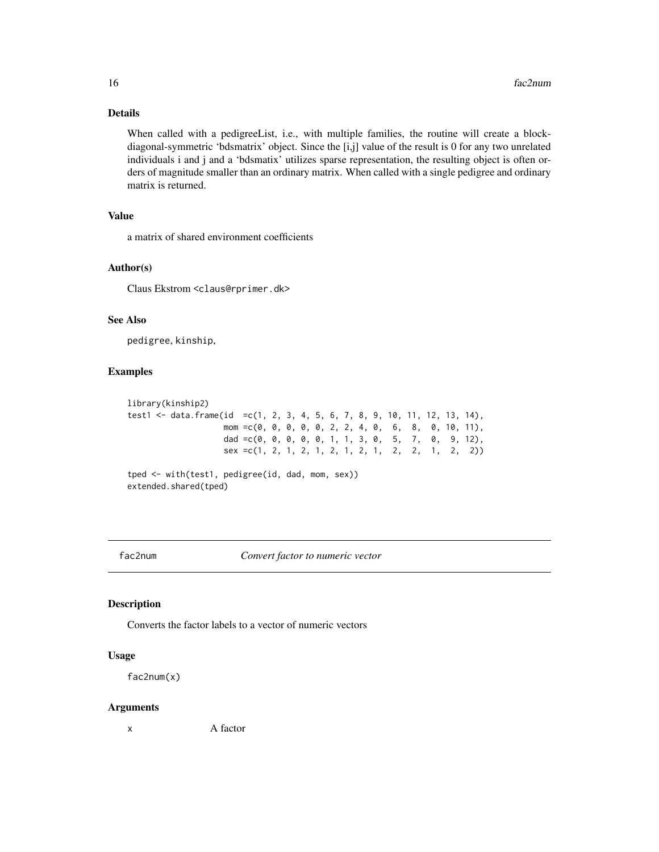#### Details

When called with a pedigreeList, i.e., with multiple families, the routine will create a blockdiagonal-symmetric 'bdsmatrix' object. Since the [i,j] value of the result is 0 for any two unrelated individuals i and j and a 'bdsmatix' utilizes sparse representation, the resulting object is often orders of magnitude smaller than an ordinary matrix. When called with a single pedigree and ordinary matrix is returned.

#### Value

a matrix of shared environment coefficients

#### Author(s)

Claus Ekstrom <claus@rprimer.dk>

#### See Also

pedigree, kinship,

#### Examples

```
library(kinship2)
test1 <- data.frame(id =c(1, 2, 3, 4, 5, 6, 7, 8, 9, 10, 11, 12, 13, 14),
                   mom =c(0, 0, 0, 0, 0, 2, 2, 4, 0, 6, 8, 0, 10, 11),
                   dad =c(0, 0, 0, 0, 0, 1, 1, 3, 0, 5, 7, 0, 9, 12),
                   sex = c(1, 2, 1, 2, 1, 2, 1, 2, 1, 2, 1, 2, 2, 1, 2, 2))tped <- with(test1, pedigree(id, dad, mom, sex))
extended.shared(tped)
```
fac2num *Convert factor to numeric vector*

#### Description

Converts the factor labels to a vector of numeric vectors

#### Usage

fac2num(x)

#### Arguments

x A factor

<span id="page-15-0"></span>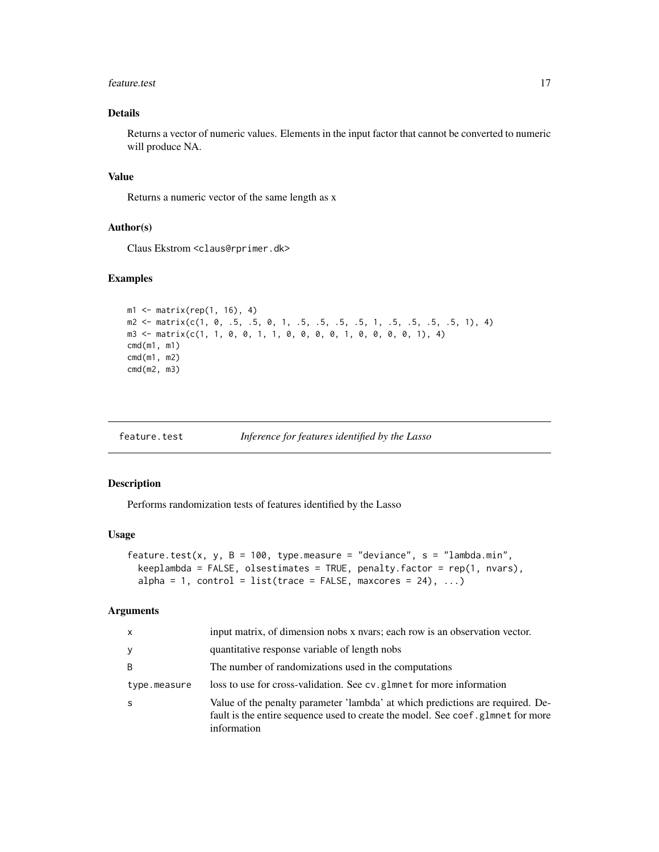#### <span id="page-16-0"></span>feature.test 17

#### Details

Returns a vector of numeric values. Elements in the input factor that cannot be converted to numeric will produce NA.

#### Value

Returns a numeric vector of the same length as x

#### Author(s)

Claus Ekstrom <claus@rprimer.dk>

#### Examples

```
ml \leq - matrix(rep(1, 16), 4)m2 <- matrix(c(1, 0, .5, .5, 0, 1, .5, .5, .5, .5, 1, .5, .5, .5, .5, 1), 4)
m3 <- matrix(c(1, 1, 0, 0, 1, 1, 0, 0, 0, 0, 1, 0, 0, 0, 0, 1), 4)
cmd(m1, m1)
cmd(m1, m2)
cmd(m2, m3)
```
feature.test *Inference for features identified by the Lasso*

#### Description

Performs randomization tests of features identified by the Lasso

#### Usage

```
feature.test(x, y, B = 100, type.measure = "deviance", s = "lambda.min",
 keeplambda = FALSE, olsestimates = TRUE, penalty.factor = rep(1, nvars),
  alpha = 1, control = list(trace = FALSE, maxcores = 24), \dots)
```
#### Arguments

| $\mathsf{x}$ | input matrix, of dimension nobs x nyars; each row is an observation vector.                                                                                                       |  |
|--------------|-----------------------------------------------------------------------------------------------------------------------------------------------------------------------------------|--|
| y            | quantitative response variable of length nobs                                                                                                                                     |  |
| B            | The number of randomizations used in the computations                                                                                                                             |  |
| type.measure | loss to use for cross-validation. See cv. glmnet for more information                                                                                                             |  |
| -S           | Value of the penalty parameter 'lambda' at which predictions are required. De-<br>fault is the entire sequence used to create the model. See coef, glmnet for more<br>information |  |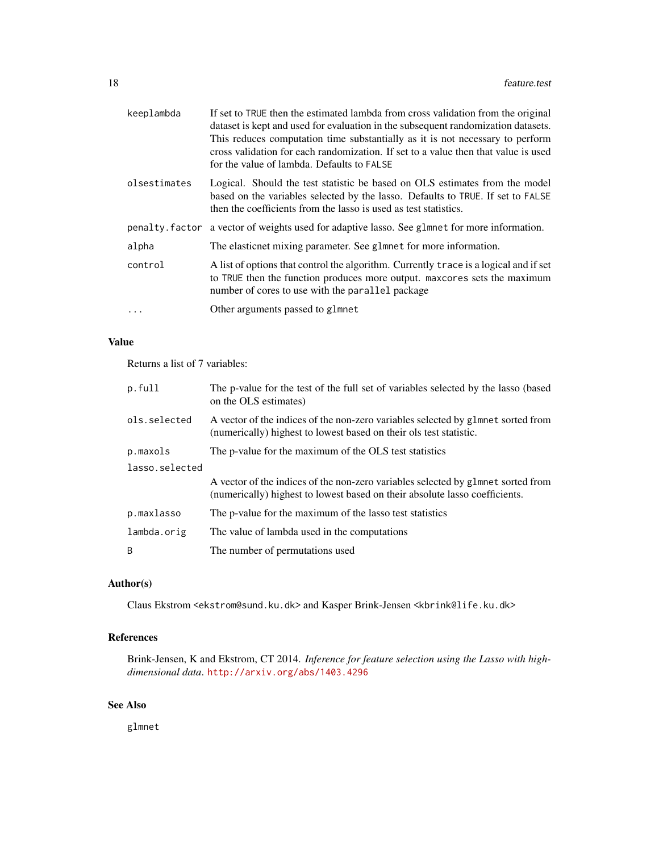| keeplambda   | If set to TRUE then the estimated lambda from cross validation from the original<br>dataset is kept and used for evaluation in the subsequent randomization datasets.<br>This reduces computation time substantially as it is not necessary to perform<br>cross validation for each randomization. If set to a value then that value is used<br>for the value of lambda. Defaults to FALSE |
|--------------|--------------------------------------------------------------------------------------------------------------------------------------------------------------------------------------------------------------------------------------------------------------------------------------------------------------------------------------------------------------------------------------------|
| olsestimates | Logical. Should the test statistic be based on OLS estimates from the model<br>based on the variables selected by the lasso. Defaults to TRUE. If set to FALSE<br>then the coefficients from the lasso is used as test statistics.                                                                                                                                                         |
|              | penalty factor a vector of weights used for adaptive lasso. See glmnet for more information.                                                                                                                                                                                                                                                                                               |
| alpha        | The elasticnet mixing parameter. See glmnet for more information.                                                                                                                                                                                                                                                                                                                          |
| control      | A list of options that control the algorithm. Currently trace is a logical and if set<br>to TRUE then the function produces more output. maxcores sets the maximum<br>number of cores to use with the parallel package                                                                                                                                                                     |
| $\ddots$     | Other arguments passed to glmnet                                                                                                                                                                                                                                                                                                                                                           |

#### Value

Returns a list of 7 variables:

| p.full         | The p-value for the test of the full set of variables selected by the lasso (based<br>on the OLS estimates)                                                     |  |
|----------------|-----------------------------------------------------------------------------------------------------------------------------------------------------------------|--|
| ols.selected   | A vector of the indices of the non-zero variables selected by glmnet sorted from<br>(numerically) highest to lowest based on their ols test statistic.          |  |
| p.maxols       | The p-value for the maximum of the OLS test statistics                                                                                                          |  |
| lasso.selected |                                                                                                                                                                 |  |
|                | A vector of the indices of the non-zero variables selected by glamet sorted from<br>(numerically) highest to lowest based on their absolute lasso coefficients. |  |
| p.maxlasso     | The p-value for the maximum of the lasso test statistics                                                                                                        |  |
| lambda.orig    | The value of lambda used in the computations                                                                                                                    |  |
| B              | The number of permutations used                                                                                                                                 |  |

#### Author(s)

Claus Ekstrom <ekstrom@sund.ku.dk> and Kasper Brink-Jensen <kbrink@life.ku.dk>

### References

Brink-Jensen, K and Ekstrom, CT 2014. *Inference for feature selection using the Lasso with highdimensional data*. <http://arxiv.org/abs/1403.4296>

#### See Also

glmnet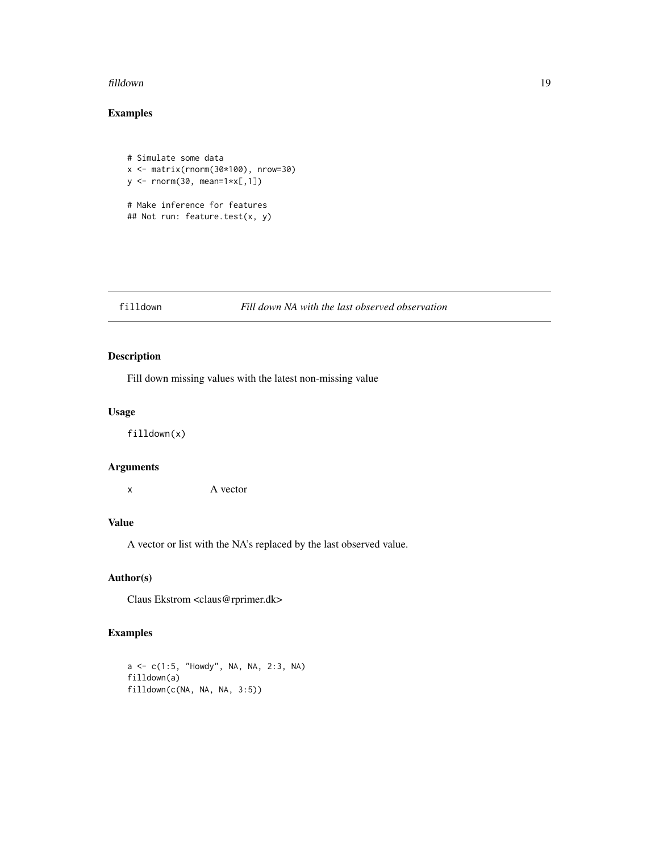#### <span id="page-18-0"></span>filldown 19

### Examples

```
# Simulate some data
x <- matrix(rnorm(30*100), nrow=30)
y <- rnorm(30, mean=1*x[,1])
# Make inference for features
## Not run: feature.test(x, y)
```
#### filldown *Fill down NA with the last observed observation*

#### Description

Fill down missing values with the latest non-missing value

#### Usage

filldown(x)

#### Arguments

x A vector

#### Value

A vector or list with the NA's replaced by the last observed value.

#### Author(s)

Claus Ekstrom <claus@rprimer.dk>

```
a <- c(1:5, "Howdy", NA, NA, 2:3, NA)
filldown(a)
filldown(c(NA, NA, NA, 3:5))
```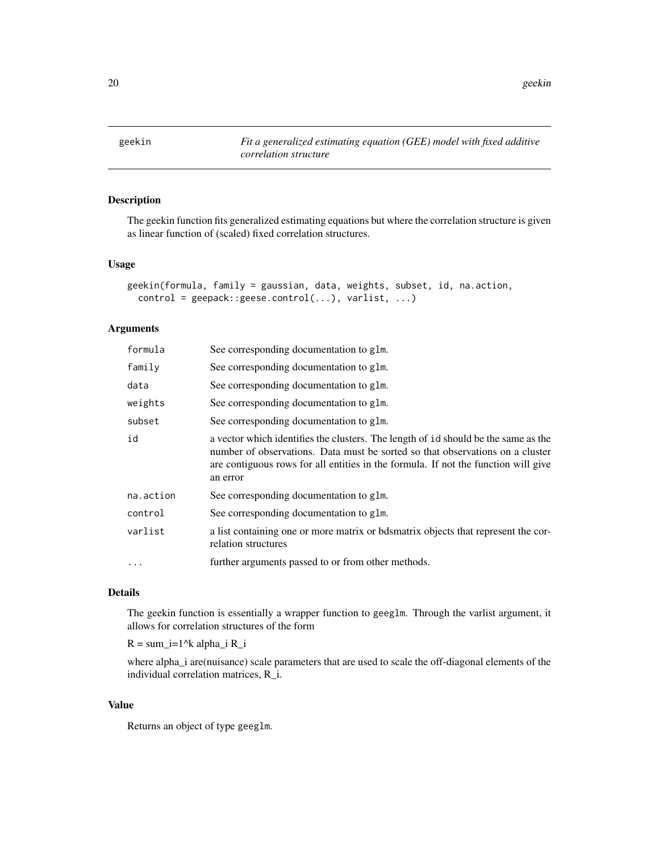<span id="page-19-0"></span>20 geekin

### Description

The geekin function fits generalized estimating equations but where the correlation structure is given as linear function of (scaled) fixed correlation structures.

#### Usage

```
geekin(formula, family = gaussian, data, weights, subset, id, na.action,
 control = geepack::geese.control(...), varlist, ...)
```
#### Arguments

| formula   | See corresponding documentation to glm.                                                                                                                                                                                                                               |
|-----------|-----------------------------------------------------------------------------------------------------------------------------------------------------------------------------------------------------------------------------------------------------------------------|
| family    | See corresponding documentation to glm.                                                                                                                                                                                                                               |
| data      | See corresponding documentation to glm.                                                                                                                                                                                                                               |
| weights   | See corresponding documentation to glm.                                                                                                                                                                                                                               |
| subset    | See corresponding documentation to glm.                                                                                                                                                                                                                               |
| id        | a vector which identifies the clusters. The length of id should be the same as the<br>number of observations. Data must be sorted so that observations on a cluster<br>are contiguous rows for all entities in the formula. If not the function will give<br>an error |
| na.action | See corresponding documentation to glm.                                                                                                                                                                                                                               |
| control   | See corresponding documentation to glm.                                                                                                                                                                                                                               |
| varlist   | a list containing one or more matrix or bdsmatrix objects that represent the cor-<br>relation structures                                                                                                                                                              |
| .         | further arguments passed to or from other methods.                                                                                                                                                                                                                    |
|           |                                                                                                                                                                                                                                                                       |

#### Details

The geekin function is essentially a wrapper function to geeglm. Through the varlist argument, it allows for correlation structures of the form

 $R = sum_i=1^k$  alpha\_i R\_i

where alpha\_i are(nuisance) scale parameters that are used to scale the off-diagonal elements of the individual correlation matrices, R\_i.

#### Value

Returns an object of type geeglm.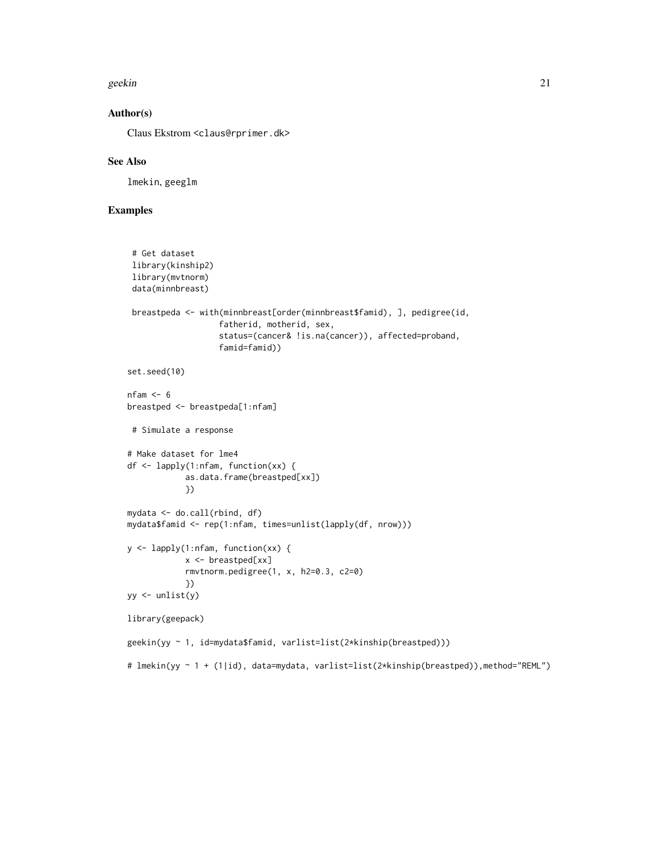#### geekin 21 aastal 1989. aastal 1989. aastal 1989. aastal 1989. aastal 1989. aastal 1989. aastal 1989. aastal 19

#### Author(s)

Claus Ekstrom <claus@rprimer.dk>

#### See Also

lmekin, geeglm

```
# Get dataset
 library(kinship2)
 library(mvtnorm)
 data(minnbreast)
 breastpeda <- with(minnbreast[order(minnbreast$famid), ], pedigree(id,
                   fatherid, motherid, sex,
                   status=(cancer& !is.na(cancer)), affected=proband,
                   famid=famid))
set.seed(10)
nfam <- 6
breastped <- breastpeda[1:nfam]
 # Simulate a response
# Make dataset for lme4
df <- lapply(1:nfam, function(xx) {
            as.data.frame(breastped[xx])
            })
mydata <- do.call(rbind, df)
mydata$famid <- rep(1:nfam, times=unlist(lapply(df, nrow)))
y <- lapply(1:nfam, function(xx) {
            x <- breastped[xx]
            rmvtnorm.pedigree(1, x, h2=0.3, c2=0)
            })
yy \leftarrow \text{unlist}(y)library(geepack)
geekin(yy ~ 1, id=mydata$famid, varlist=list(2*kinship(breastped)))
# lmekin(yy ~ 1 + (1|id), data=mydata, varlist=list(2*kinship(breastped)),method="REML")
```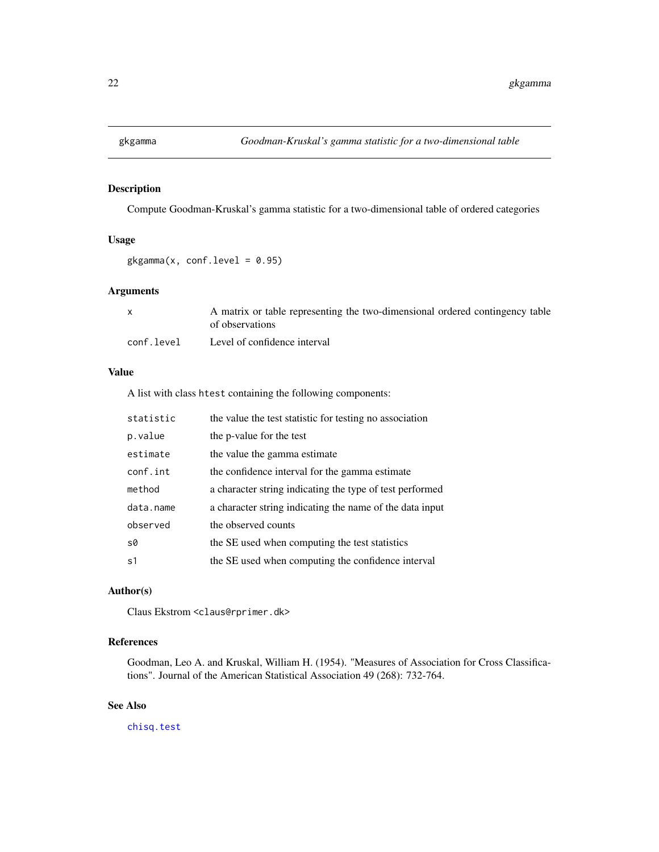<span id="page-21-0"></span>

Compute Goodman-Kruskal's gamma statistic for a two-dimensional table of ordered categories

#### Usage

 $gkgamma(x, conf.level = 0.95)$ 

#### Arguments

|            | A matrix or table representing the two-dimensional ordered contingency table<br>of observations |
|------------|-------------------------------------------------------------------------------------------------|
| conf.level | Level of confidence interval                                                                    |

#### Value

A list with class htest containing the following components:

| statistic      | the value the test statistic for testing no association  |  |
|----------------|----------------------------------------------------------|--|
| p.value        | the p-value for the test                                 |  |
| estimate       | the value the gamma estimate                             |  |
| conf.int       | the confidence interval for the gamma estimate           |  |
| method         | a character string indicating the type of test performed |  |
| data.name      | a character string indicating the name of the data input |  |
| observed       | the observed counts                                      |  |
| s0             | the SE used when computing the test statistics           |  |
| s <sub>1</sub> | the SE used when computing the confidence interval       |  |
|                |                                                          |  |

#### Author(s)

Claus Ekstrom <claus@rprimer.dk>

#### References

Goodman, Leo A. and Kruskal, William H. (1954). "Measures of Association for Cross Classifications". Journal of the American Statistical Association 49 (268): 732-764.

### See Also

[chisq.test](#page-0-0)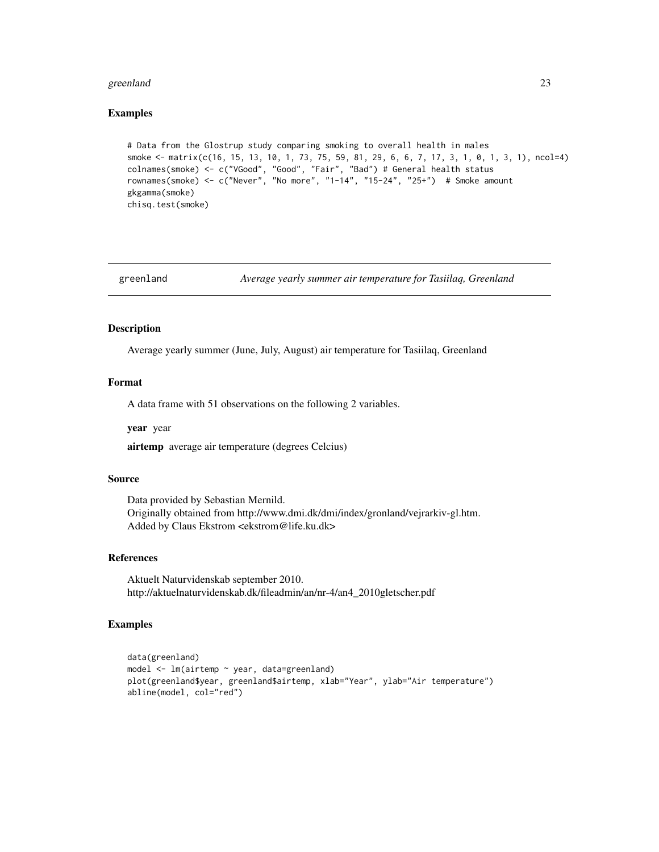#### <span id="page-22-0"></span>greenland 23

#### Examples

```
# Data from the Glostrup study comparing smoking to overall health in males
smoke <- matrix(c(16, 15, 13, 10, 1, 73, 75, 59, 81, 29, 6, 6, 7, 17, 3, 1, 0, 1, 3, 1), ncol=4)
colnames(smoke) <- c("VGood", "Good", "Fair", "Bad") # General health status
rownames(smoke) <- c("Never", "No more", "1-14", "15-24", "25+") # Smoke amount
gkgamma(smoke)
chisq.test(smoke)
```
greenland *Average yearly summer air temperature for Tasiilaq, Greenland*

#### Description

Average yearly summer (June, July, August) air temperature for Tasiilaq, Greenland

#### Format

A data frame with 51 observations on the following 2 variables.

year year

airtemp average air temperature (degrees Celcius)

#### Source

Data provided by Sebastian Mernild. Originally obtained from http://www.dmi.dk/dmi/index/gronland/vejrarkiv-gl.htm. Added by Claus Ekstrom <ekstrom@life.ku.dk>

#### References

Aktuelt Naturvidenskab september 2010. http://aktuelnaturvidenskab.dk/fileadmin/an/nr-4/an4\_2010gletscher.pdf

```
data(greenland)
model <- lm(airtemp ~ year, data=greenland)
plot(greenland$year, greenland$airtemp, xlab="Year", ylab="Air temperature")
abline(model, col="red")
```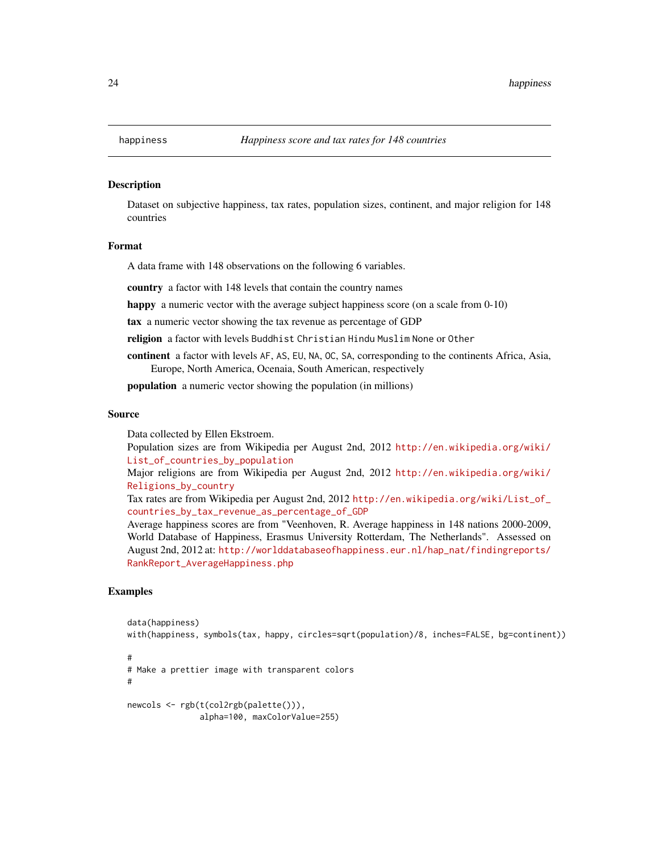Dataset on subjective happiness, tax rates, population sizes, continent, and major religion for 148 countries

#### Format

A data frame with 148 observations on the following 6 variables.

country a factor with 148 levels that contain the country names

happy a numeric vector with the average subject happiness score (on a scale from 0-10)

tax a numeric vector showing the tax revenue as percentage of GDP

religion a factor with levels Buddhist Christian Hindu Muslim None or Other

continent a factor with levels AF, AS, EU, NA, OC, SA, corresponding to the continents Africa, Asia, Europe, North America, Ocenaia, South American, respectively

population a numeric vector showing the population (in millions)

#### Source

Data collected by Ellen Ekstroem.

Population sizes are from Wikipedia per August 2nd, 2012 [http://en.wikipedia.org/wiki/](http://en.wikipedia.org/wiki/List_of_countries_by_population) [List\\_of\\_countries\\_by\\_population](http://en.wikipedia.org/wiki/List_of_countries_by_population)

Major religions are from Wikipedia per August 2nd, 2012 [http://en.wikipedia.org/wiki/](http://en.wikipedia.org/wiki/Religions_by_country) [Religions\\_by\\_country](http://en.wikipedia.org/wiki/Religions_by_country)

Tax rates are from Wikipedia per August 2nd, 2012 [http://en.wikipedia.org/wiki/List\\_of\\_](http://en.wikipedia.org/wiki/List_of_countries_by_tax_revenue_as_percentage_of_GDP) [countries\\_by\\_tax\\_revenue\\_as\\_percentage\\_of\\_GDP](http://en.wikipedia.org/wiki/List_of_countries_by_tax_revenue_as_percentage_of_GDP)

Average happiness scores are from "Veenhoven, R. Average happiness in 148 nations 2000-2009, World Database of Happiness, Erasmus University Rotterdam, The Netherlands". Assessed on August 2nd, 2012 at: [http://worlddatabaseofhappiness.eur.nl/hap\\_nat/findingreports/](http://worlddatabaseofhappiness.eur.nl/hap_nat/findingreports/RankReport_AverageHappiness.php) [RankReport\\_AverageHappiness.php](http://worlddatabaseofhappiness.eur.nl/hap_nat/findingreports/RankReport_AverageHappiness.php)

```
data(happiness)
with(happiness, symbols(tax, happy, circles=sqrt(population)/8, inches=FALSE, bg=continent))
#
# Make a prettier image with transparent colors
#
newcols <- rgb(t(col2rgb(palette())),
               alpha=100, maxColorValue=255)
```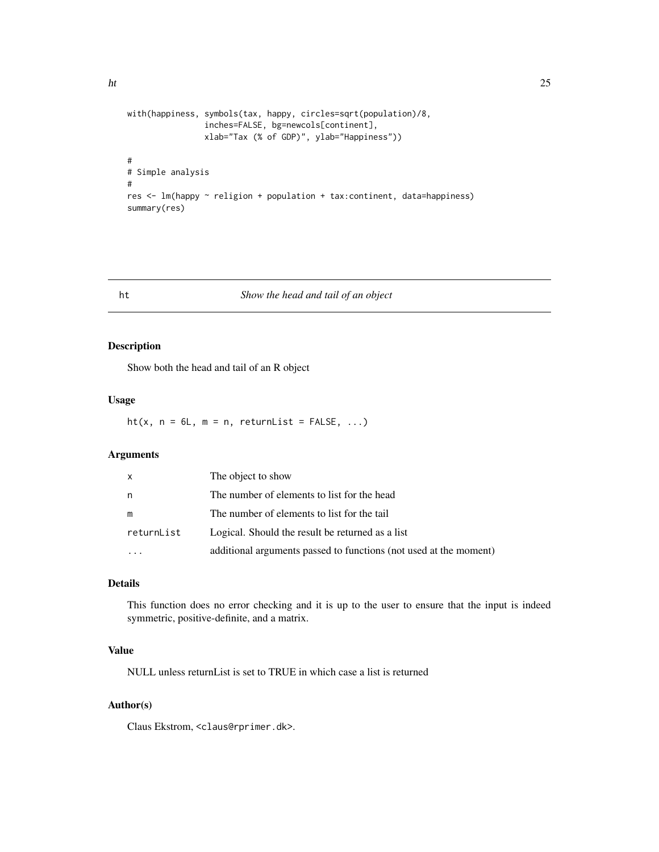```
with(happiness, symbols(tax, happy, circles=sqrt(population)/8,
                inches=FALSE, bg=newcols[continent],
                xlab="Tax (% of GDP)", ylab="Happiness"))
#
# Simple analysis
#
res <- lm(happy ~ religion + population + tax:continent, data=happiness)
summary(res)
```
#### ht *Show the head and tail of an object*

#### Description

Show both the head and tail of an R object

#### Usage

ht(x,  $n = 6L$ ,  $m = n$ , returnList = FALSE, ...)

#### Arguments

| x          | The object to show                                                |
|------------|-------------------------------------------------------------------|
| n          | The number of elements to list for the head                       |
| m          | The number of elements to list for the tail                       |
| returnList | Logical. Should the result be returned as a list                  |
|            | additional arguments passed to functions (not used at the moment) |

#### Details

This function does no error checking and it is up to the user to ensure that the input is indeed symmetric, positive-definite, and a matrix.

#### Value

NULL unless returnList is set to TRUE in which case a list is returned

#### Author(s)

Claus Ekstrom, <claus@rprimer.dk>.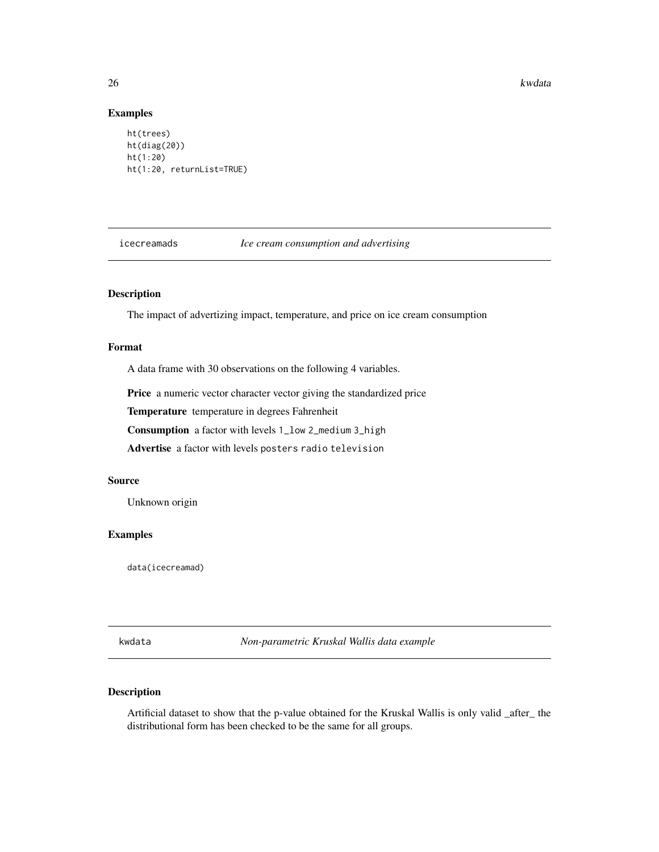<span id="page-25-0"></span>26 kwdata iyo kwanza kwa kwa kutoka wa 1972, wakati wa kutoka wa kutoka wa kutoka wa kutoka wa kutoka wa kutoka w

#### Examples

```
ht(trees)
ht(diag(20))
ht(1:20)
ht(1:20, returnList=TRUE)
```
icecreamads *Ice cream consumption and advertising*

#### Description

The impact of advertizing impact, temperature, and price on ice cream consumption

#### Format

A data frame with 30 observations on the following 4 variables.

Price a numeric vector character vector giving the standardized price

Temperature temperature in degrees Fahrenheit

Consumption a factor with levels 1\_low 2\_medium 3\_high

Advertise a factor with levels posters radio television

#### Source

Unknown origin

#### Examples

data(icecreamad)

kwdata *Non-parametric Kruskal Wallis data example*

#### Description

Artificial dataset to show that the p-value obtained for the Kruskal Wallis is only valid \_after\_ the distributional form has been checked to be the same for all groups.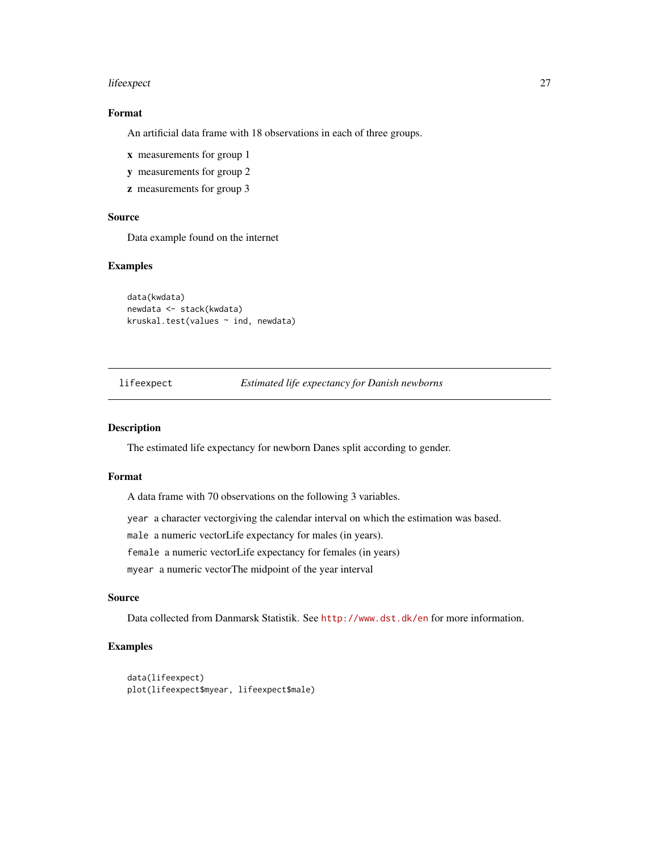#### <span id="page-26-0"></span>lifeexpect 27

#### Format

An artificial data frame with 18 observations in each of three groups.

- x measurements for group 1
- y measurements for group 2
- z measurements for group 3

#### Source

Data example found on the internet

#### Examples

```
data(kwdata)
newdata <- stack(kwdata)
kruskal.test(values ~ ind, newdata)
```
#### lifeexpect *Estimated life expectancy for Danish newborns*

#### Description

The estimated life expectancy for newborn Danes split according to gender.

#### Format

A data frame with 70 observations on the following 3 variables.

year a character vectorgiving the calendar interval on which the estimation was based.

male a numeric vectorLife expectancy for males (in years).

female a numeric vectorLife expectancy for females (in years)

myear a numeric vectorThe midpoint of the year interval

#### Source

Data collected from Danmarsk Statistik. See <http://www.dst.dk/en> for more information.

```
data(lifeexpect)
plot(lifeexpect$myear, lifeexpect$male)
```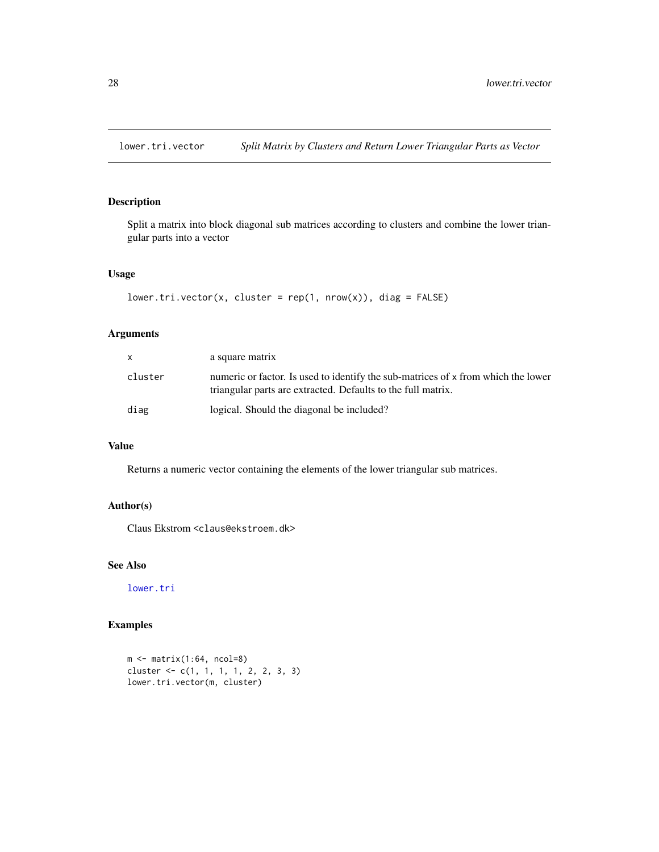<span id="page-27-0"></span>

Split a matrix into block diagonal sub matrices according to clusters and combine the lower triangular parts into a vector

#### Usage

```
lower.tri.vector(x, cluster = rep(1, nrow(x)), diag = FALSE)
```
#### Arguments

| x.      | a square matrix                                                                                                                                   |
|---------|---------------------------------------------------------------------------------------------------------------------------------------------------|
| cluster | numeric or factor. Is used to identify the sub-matrices of x from which the lower<br>triangular parts are extracted. Defaults to the full matrix. |
| diag    | logical. Should the diagonal be included?                                                                                                         |

#### Value

Returns a numeric vector containing the elements of the lower triangular sub matrices.

#### Author(s)

Claus Ekstrom <claus@ekstroem.dk>

#### See Also

[lower.tri](#page-0-0)

```
m \le - matrix(1:64, ncol=8)
cluster <- c(1, 1, 1, 1, 2, 2, 3, 3)
lower.tri.vector(m, cluster)
```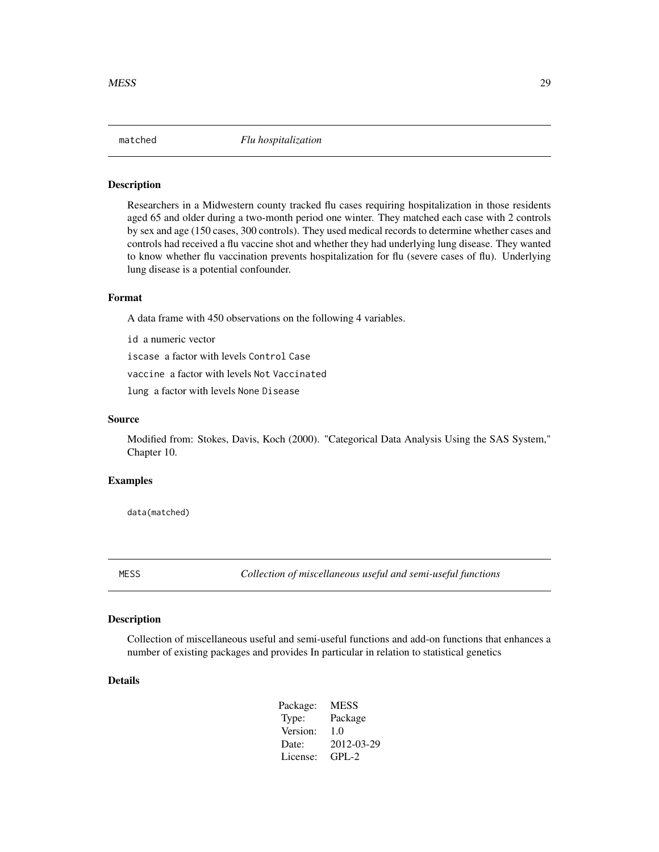<span id="page-28-0"></span>

Researchers in a Midwestern county tracked flu cases requiring hospitalization in those residents aged 65 and older during a two-month period one winter. They matched each case with 2 controls by sex and age (150 cases, 300 controls). They used medical records to determine whether cases and controls had received a flu vaccine shot and whether they had underlying lung disease. They wanted to know whether flu vaccination prevents hospitalization for flu (severe cases of flu). Underlying lung disease is a potential confounder.

#### Format

A data frame with 450 observations on the following 4 variables.

id a numeric vector

iscase a factor with levels Control Case

vaccine a factor with levels Not Vaccinated

lung a factor with levels None Disease

#### Source

Modified from: Stokes, Davis, Koch (2000). "Categorical Data Analysis Using the SAS System," Chapter 10.

#### Examples

data(matched)

MESS *Collection of miscellaneous useful and semi-useful functions*

#### Description

Collection of miscellaneous useful and semi-useful functions and add-on functions that enhances a number of existing packages and provides In particular in relation to statistical genetics

#### Details

| Package: | <b>MESS</b> |
|----------|-------------|
| Type:    | Package     |
| Version: | 1.0         |
| Date:    | 2012-03-29  |
| License: | $GPL-2$     |
|          |             |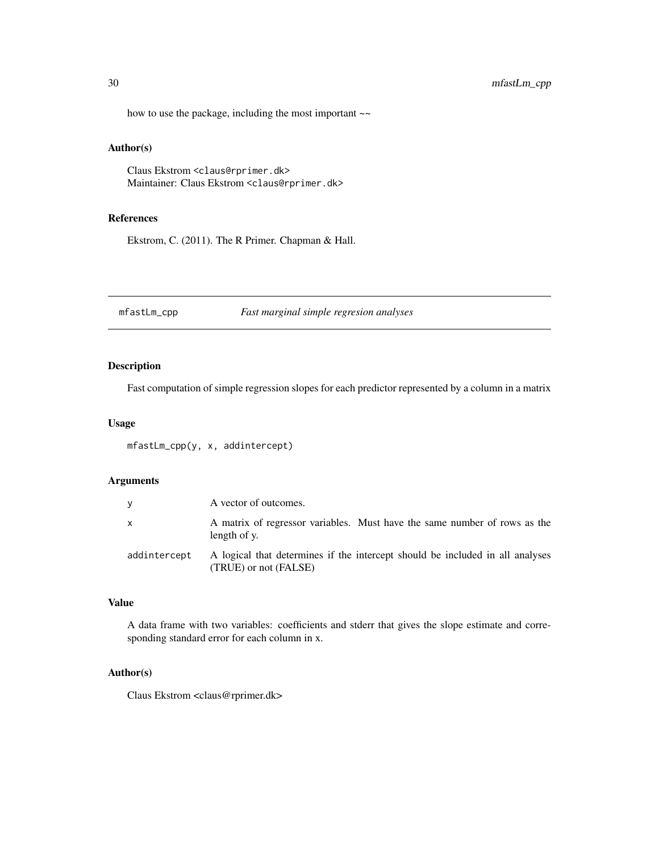#### <span id="page-29-0"></span>30 mfastLm\_cpp

how to use the package, including the most important  $\sim$ 

#### Author(s)

Claus Ekstrom <claus@rprimer.dk> Maintainer: Claus Ekstrom <claus@rprimer.dk>

#### References

Ekstrom, C. (2011). The R Primer. Chapman & Hall.

mfastLm\_cpp *Fast marginal simple regresion analyses*

#### Description

Fast computation of simple regression slopes for each predictor represented by a column in a matrix

#### Usage

mfastLm\_cpp(y, x, addintercept)

#### Arguments

| V            | A vector of outcomes.                                                                                  |
|--------------|--------------------------------------------------------------------------------------------------------|
| X            | A matrix of regressor variables. Must have the same number of rows as the<br>length of y.              |
| addintercept | A logical that determines if the intercept should be included in all analyses<br>(TRUE) or not (FALSE) |

#### Value

A data frame with two variables: coefficients and stderr that gives the slope estimate and corresponding standard error for each column in x.

#### Author(s)

Claus Ekstrom <claus@rprimer.dk>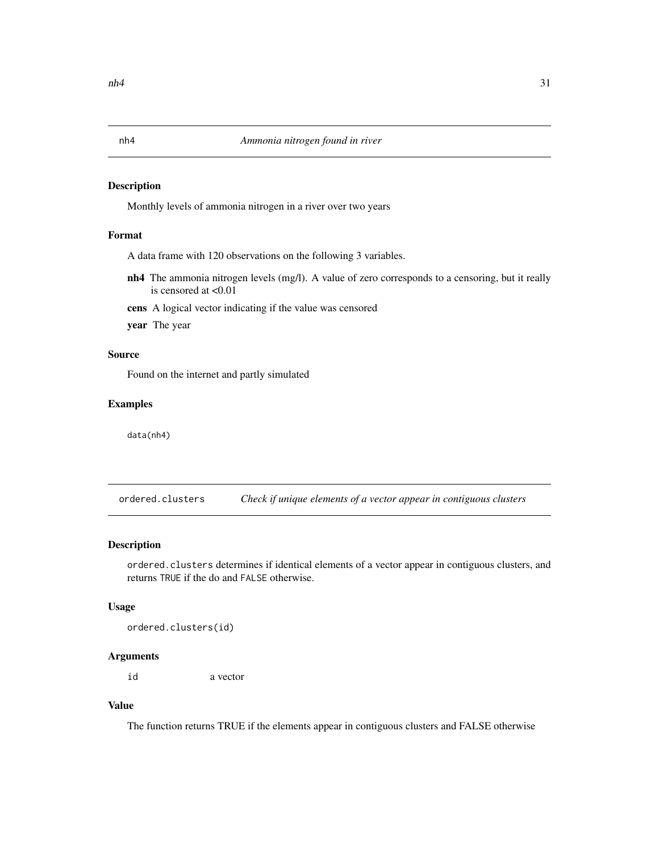Monthly levels of ammonia nitrogen in a river over two years

#### Format

A data frame with 120 observations on the following 3 variables.

nh4 The ammonia nitrogen levels (mg/l). A value of zero corresponds to a censoring, but it really is censored at <0.01

cens A logical vector indicating if the value was censored

year The year

#### Source

Found on the internet and partly simulated

#### Examples

data(nh4)

ordered.clusters *Check if unique elements of a vector appear in contiguous clusters*

#### Description

ordered.clusters determines if identical elements of a vector appear in contiguous clusters, and returns TRUE if the do and FALSE otherwise.

#### Usage

ordered.clusters(id)

#### Arguments

id a vector

### Value

The function returns TRUE if the elements appear in contiguous clusters and FALSE otherwise

<span id="page-30-0"></span>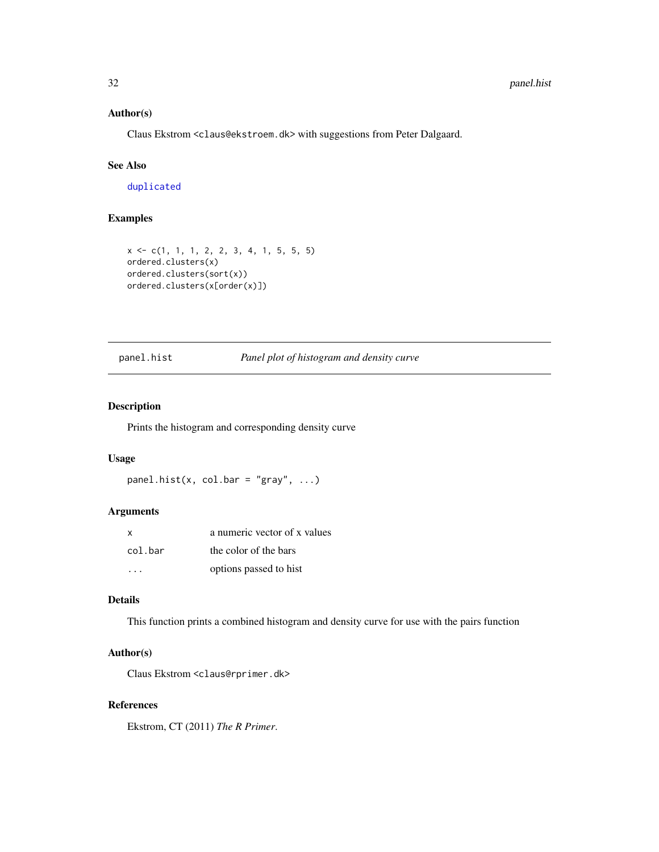#### Author(s)

Claus Ekstrom <claus@ekstroem.dk> with suggestions from Peter Dalgaard.

### See Also

[duplicated](#page-0-0)

#### Examples

```
x <- c(1, 1, 1, 2, 2, 3, 4, 1, 5, 5, 5)
ordered.clusters(x)
ordered.clusters(sort(x))
ordered.clusters(x[order(x)])
```
#### panel.hist *Panel plot of histogram and density curve*

#### Description

Prints the histogram and corresponding density curve

#### Usage

```
panel.hist(x, col.bar = "gray", \dots)
```
#### Arguments

| X       | a numeric vector of x values |
|---------|------------------------------|
| col.bar | the color of the bars        |
|         | options passed to hist       |

#### Details

This function prints a combined histogram and density curve for use with the pairs function

#### Author(s)

Claus Ekstrom <claus@rprimer.dk>

#### References

Ekstrom, CT (2011) *The R Primer*.

<span id="page-31-0"></span>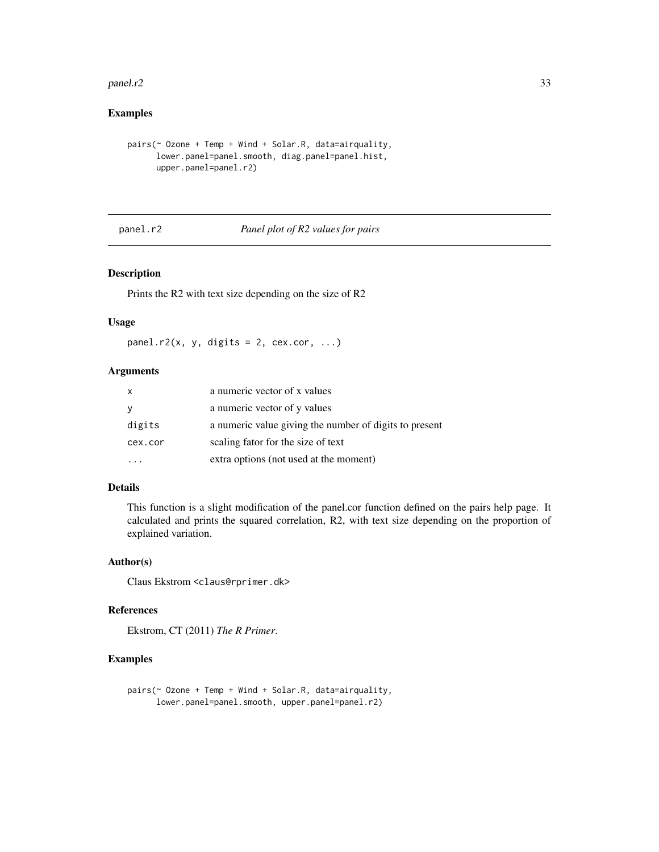#### <span id="page-32-0"></span> $pane1.r2$  33

#### Examples

```
pairs \circ Ozone + Temp + Wind + Solar.R, data=airquality,
      lower.panel=panel.smooth, diag.panel=panel.hist,
      upper.panel=panel.r2)
```
panel.r2 *Panel plot of R2 values for pairs*

#### Description

Prints the R2 with text size depending on the size of R2

#### Usage

panel.r2(x, y, digits = 2, cex.cor, ...)

#### Arguments

| $\mathsf{x}$ | a numeric vector of x values                           |
|--------------|--------------------------------------------------------|
| <b>y</b>     | a numeric vector of y values                           |
| digits       | a numeric value giving the number of digits to present |
| cex.cor      | scaling fator for the size of text                     |
|              | extra options (not used at the moment)                 |

#### Details

This function is a slight modification of the panel.cor function defined on the pairs help page. It calculated and prints the squared correlation, R2, with text size depending on the proportion of explained variation.

#### Author(s)

Claus Ekstrom <claus@rprimer.dk>

#### References

Ekstrom, CT (2011) *The R Primer*.

```
pairs(~ Ozone + Temp + Wind + Solar.R, data=airquality,
     lower.panel=panel.smooth, upper.panel=panel.r2)
```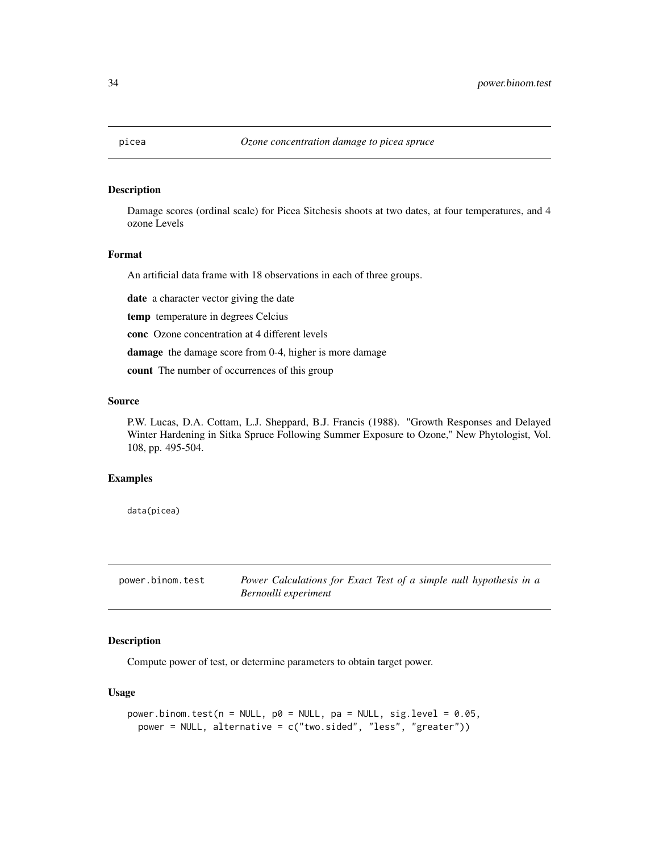<span id="page-33-0"></span>

Damage scores (ordinal scale) for Picea Sitchesis shoots at two dates, at four temperatures, and 4 ozone Levels

#### Format

An artificial data frame with 18 observations in each of three groups.

date a character vector giving the date

temp temperature in degrees Celcius

conc Ozone concentration at 4 different levels

damage the damage score from 0-4, higher is more damage

count The number of occurrences of this group

#### Source

P.W. Lucas, D.A. Cottam, L.J. Sheppard, B.J. Francis (1988). "Growth Responses and Delayed Winter Hardening in Sitka Spruce Following Summer Exposure to Ozone," New Phytologist, Vol. 108, pp. 495-504.

#### Examples

data(picea)

power.binom.test *Power Calculations for Exact Test of a simple null hypothesis in a Bernoulli experiment*

#### Description

Compute power of test, or determine parameters to obtain target power.

#### Usage

```
power.binom.test(n = NULL, p0 = NULL, pa = NULL, sig.length = 0.05,
 power = NULL, alternative = c("two.sided", "less", "greater"))
```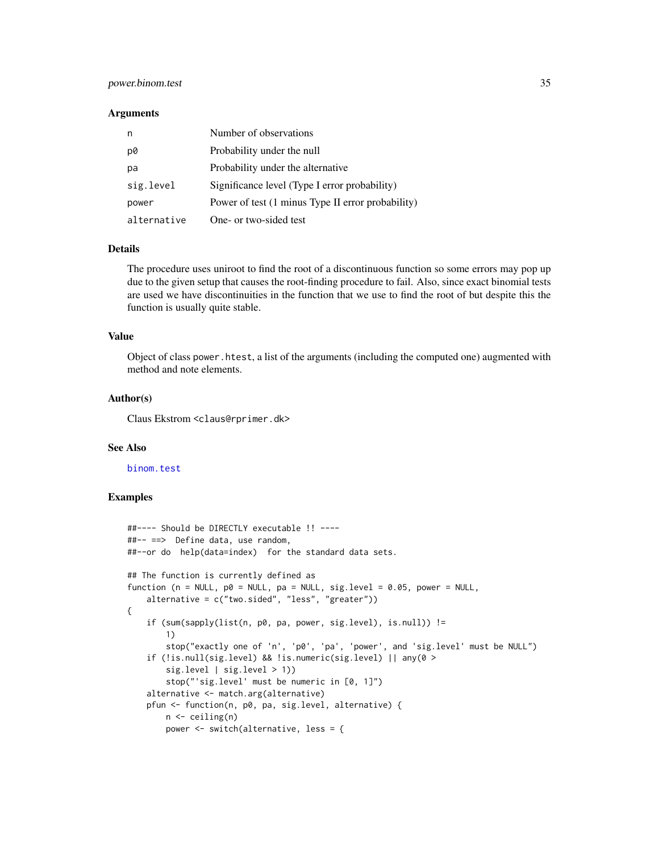#### <span id="page-34-0"></span>power.binom.test 35

#### **Arguments**

|             | Number of observations                            |
|-------------|---------------------------------------------------|
| p0          | Probability under the null                        |
| pa          | Probability under the alternative                 |
| sig.level   | Significance level (Type I error probability)     |
| power       | Power of test (1 minus Type II error probability) |
| alternative | One- or two-sided test                            |

#### Details

The procedure uses uniroot to find the root of a discontinuous function so some errors may pop up due to the given setup that causes the root-finding procedure to fail. Also, since exact binomial tests are used we have discontinuities in the function that we use to find the root of but despite this the function is usually quite stable.

#### Value

Object of class power.htest, a list of the arguments (including the computed one) augmented with method and note elements.

#### Author(s)

Claus Ekstrom <claus@rprimer.dk>

#### See Also

[binom.test](#page-0-0)

```
##---- Should be DIRECTLY executable !! ----
##-- ==> Define data, use random,
##--or do help(data=index) for the standard data sets.
## The function is currently defined as
function (n = NULL, p0 = NULL, pa = NULL, sig. level = 0.05, power = NULL,
    alternative = c("two.sided", "less", "greater"))
{
    if (sum(sapply(list(n, p0, pa, power, sig.level), is.null)) !=
       1)
       stop("exactly one of 'n', 'p0', 'pa', 'power', and 'sig.level' must be NULL")
    if (!is.null(sig.level) && !is.numeric(sig.level) || any(0 >
       sig.level | sig.level > 1))
       stop("'sig.level' must be numeric in [0, 1]")
    alternative <- match.arg(alternative)
   pfun <- function(n, p0, pa, sig.level, alternative) {
       n <- ceiling(n)
       power <- switch(alternative, less = {
```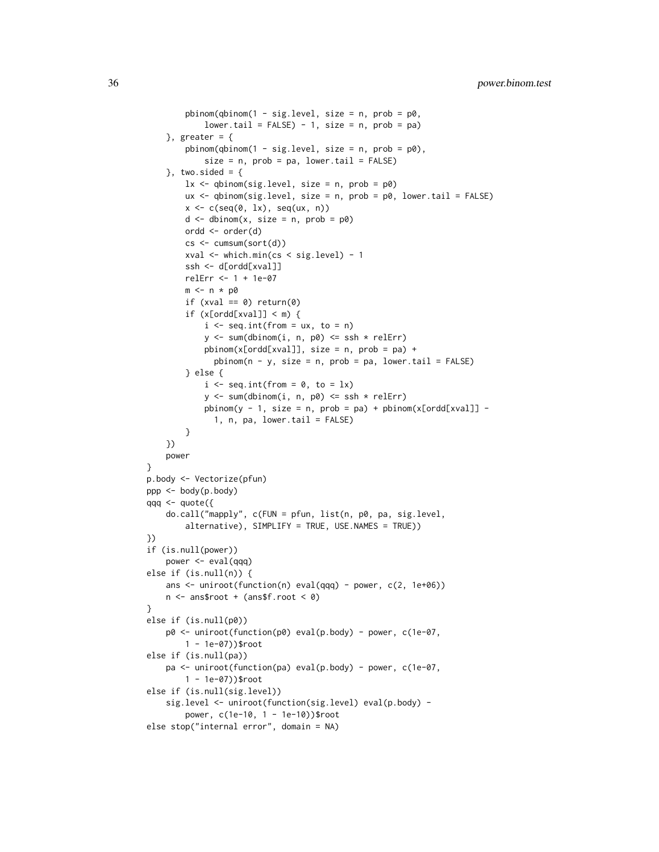```
pbinom(qbinom(1 - sig-level, size = n, prob = p0,lower.tail = FALSE) - 1, size = n, prob = pa)}, greater = {
        pbinom(qbinom(1 - sig.length, size = n, prob = p0),
             size = n, prob = pa, lower.tail = FALSE)}, two.sided = {
        lx \leftarrow \text{qbinom}(\text{sig. level}, \text{ size = n, prob = p0})ux < - qbinom(sig.level, size = n, prob = p0, lower.tail = FALSE)
        x \leftarrow c(\text{seq}(0, 1x), \text{seq}(ux, n))d \le - dbinom(x, size = n, prob = p0)
        ordd <- order(d)
        cs <- cumsum(sort(d))
        xval <- which.min(cs < sig.level) - 1
        ssh <- d[ordd[xval]]
        relErr <- 1 + 1e-07
        m <- n * p0if (xval == 0) return(0)if (x[ord[xval]] < m) {
             i \leq seq.int(from = ux, to = n)
             y \le -\text{sum}(dbinom(i, n, p0) \le -\text{csh} \times \text{relErr})pbinom(x[ord([xval]], size = n, prob = pa) +pbinom(n - y, size = n, prob = pa, lower.tail = FALSE)} else {
             i \leq seq.int(from = 0, to = lx)
             y \le -\text{sum}(dbinom(i, n, p0) \le -\text{csh} \times \text{relErr})pbinom(y - 1, size = n, prob = pa) + pbinom(x[ord([x1]) -1, n, pa, lower.tail = FALSE)
        }
    })
    power
}
p.body <- Vectorize(pfun)
ppp <- body(p.body)
qqq \leq quote({
    do.call("mapply", c(FUN = pfun, list(n, p0, pa, sig.level,
        alternative), SIMPLIFY = TRUE, USE.NAMES = TRUE))
})
if (is.null(power))
    power <- eval(qqq)
else if (is.null(n)) {
    ans \le uniroot(function(n) eval(qqq) - power, c(2, 1e+06))
    n <- ans$root + (ans$f.root < 0)
}
else if (is.null(p0))
    p0 <- uniroot(function(p0) eval(p.body) - power, c(1e-07,
        1 - 1e-07))$root
else if (is.null(pa))
    pa <- uniroot(function(pa) eval(p.body) - power, c(1e-07,
        1 - 1e-07))$root
else if (is.null(sig.level))
    sig.level <- uniroot(function(sig.level) eval(p.body) -
        power, c(1e-10, 1 - 1e-10))$root
else stop("internal error", domain = NA)
```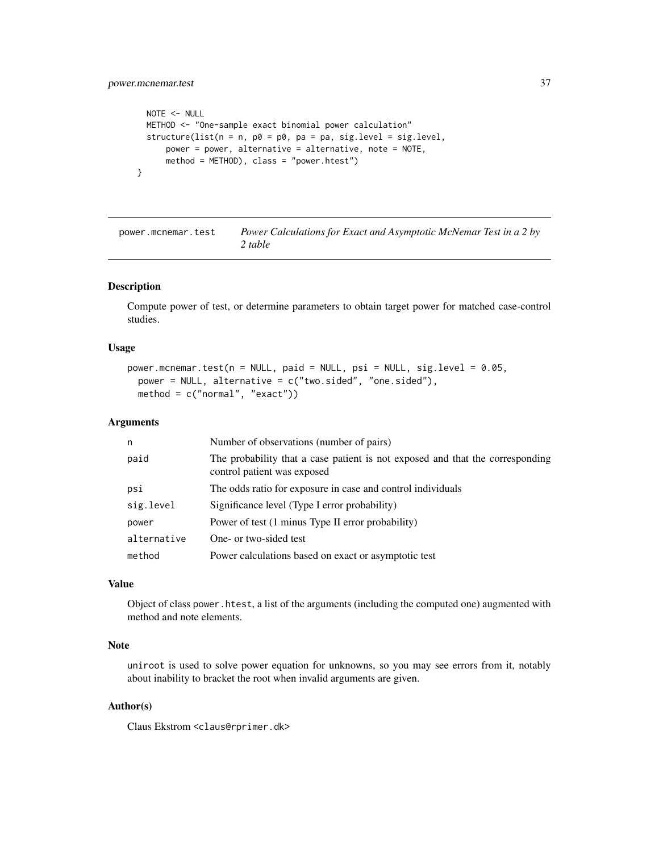```
NOTE <- NULL
 METHOD <- "One-sample exact binomial power calculation"
  structure(list(n = n, p0 = p0, pa = pa, sig.level = sig.level,
     power = power, alternative = alternative, note = NOTE,
     method = METHOD), class = "power.htest")
}
```
power.mcnemar.test *Power Calculations for Exact and Asymptotic McNemar Test in a 2 by 2 table*

#### Description

Compute power of test, or determine parameters to obtain target power for matched case-control studies.

#### Usage

```
power.mcnemar.test(n = NULL, paid = NULL, psi = NULL, sig.level = 0.05,
 power = NULL, alternative = c("two.sided", "one.sided"),
 method = c("normal", "exact")
```
#### Arguments

| n           | Number of observations (number of pairs)                                                                     |
|-------------|--------------------------------------------------------------------------------------------------------------|
| paid        | The probability that a case patient is not exposed and that the corresponding<br>control patient was exposed |
| psi         | The odds ratio for exposure in case and control individuals                                                  |
| sig.level   | Significance level (Type I error probability)                                                                |
| power       | Power of test (1 minus Type II error probability)                                                            |
| alternative | One- or two-sided test                                                                                       |
| method      | Power calculations based on exact or asymptotic test                                                         |

#### Value

Object of class power.htest, a list of the arguments (including the computed one) augmented with method and note elements.

#### Note

uniroot is used to solve power equation for unknowns, so you may see errors from it, notably about inability to bracket the root when invalid arguments are given.

#### Author(s)

Claus Ekstrom <claus@rprimer.dk>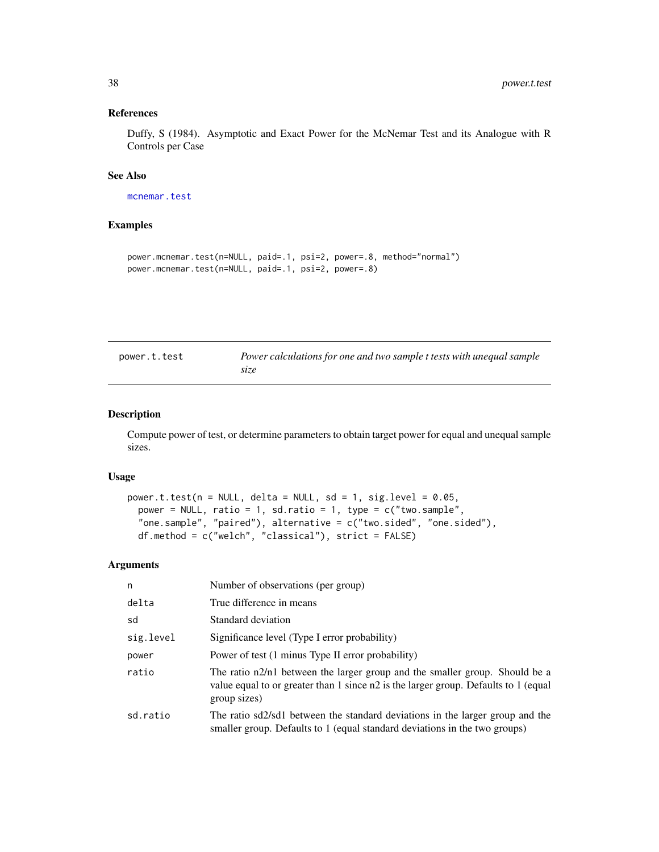#### <span id="page-37-0"></span>References

Duffy, S (1984). Asymptotic and Exact Power for the McNemar Test and its Analogue with R Controls per Case

#### See Also

[mcnemar.test](#page-0-0)

#### Examples

```
power.mcnemar.test(n=NULL, paid=.1, psi=2, power=.8, method="normal")
power.mcnemar.test(n=NULL, paid=.1, psi=2, power=.8)
```

| power.t.test | Power calculations for one and two sample t tests with unequal sample |
|--------------|-----------------------------------------------------------------------|
|              | size                                                                  |

#### Description

Compute power of test, or determine parameters to obtain target power for equal and unequal sample sizes.

#### Usage

```
power.t.test(n = NULL, delta = NULL, sd = 1, sig.level = 0.05,
 power = NULL, ratio = 1, sd.ratio = 1, type = c("two.sample","one.sample", "paired"), alternative = c("two.sided", "one.sided"),
 df.method = c("welch", "classical"), strict = FALSE)
```
#### Arguments

| n         | Number of observations (per group)                                                                                                                                                 |
|-----------|------------------------------------------------------------------------------------------------------------------------------------------------------------------------------------|
| delta     | True difference in means                                                                                                                                                           |
| sd        | Standard deviation                                                                                                                                                                 |
| sig.level | Significance level (Type I error probability)                                                                                                                                      |
| power     | Power of test (1 minus Type II error probability)                                                                                                                                  |
| ratio     | The ratio n2/n1 between the larger group and the smaller group. Should be a<br>value equal to or greater than 1 since n2 is the larger group. Defaults to 1 (equal<br>group sizes) |
| sd.ratio  | The ratio sd2/sd1 between the standard deviations in the larger group and the<br>smaller group. Defaults to 1 (equal standard deviations in the two groups)                        |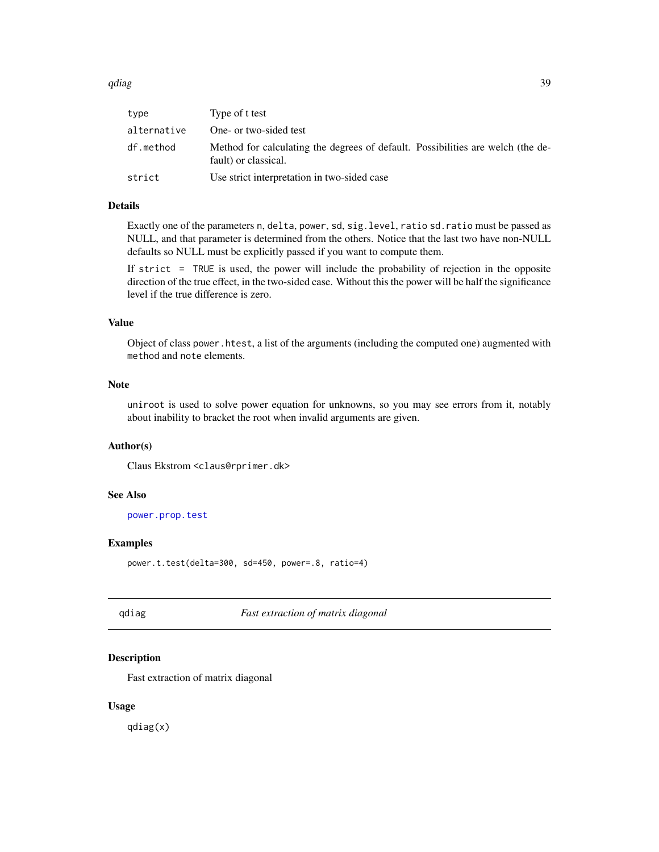<span id="page-38-0"></span>

| type        | Type of t test                                                                                          |
|-------------|---------------------------------------------------------------------------------------------------------|
| alternative | One- or two-sided test                                                                                  |
| df.method   | Method for calculating the degrees of default. Possibilities are welch (the de-<br>fault) or classical. |
| strict      | Use strict interpretation in two-sided case                                                             |

#### Details

Exactly one of the parameters n, delta, power, sd, sig.level, ratio sd.ratio must be passed as NULL, and that parameter is determined from the others. Notice that the last two have non-NULL defaults so NULL must be explicitly passed if you want to compute them.

If strict = TRUE is used, the power will include the probability of rejection in the opposite direction of the true effect, in the two-sided case. Without this the power will be half the significance level if the true difference is zero.

#### Value

Object of class power.htest, a list of the arguments (including the computed one) augmented with method and note elements.

#### Note

uniroot is used to solve power equation for unknowns, so you may see errors from it, notably about inability to bracket the root when invalid arguments are given.

#### Author(s)

Claus Ekstrom <claus@rprimer.dk>

#### See Also

[power.prop.test](#page-0-0)

#### Examples

```
power.t.test(delta=300, sd=450, power=.8, ratio=4)
```
qdiag *Fast extraction of matrix diagonal*

#### Description

Fast extraction of matrix diagonal

#### Usage

qdiag(x)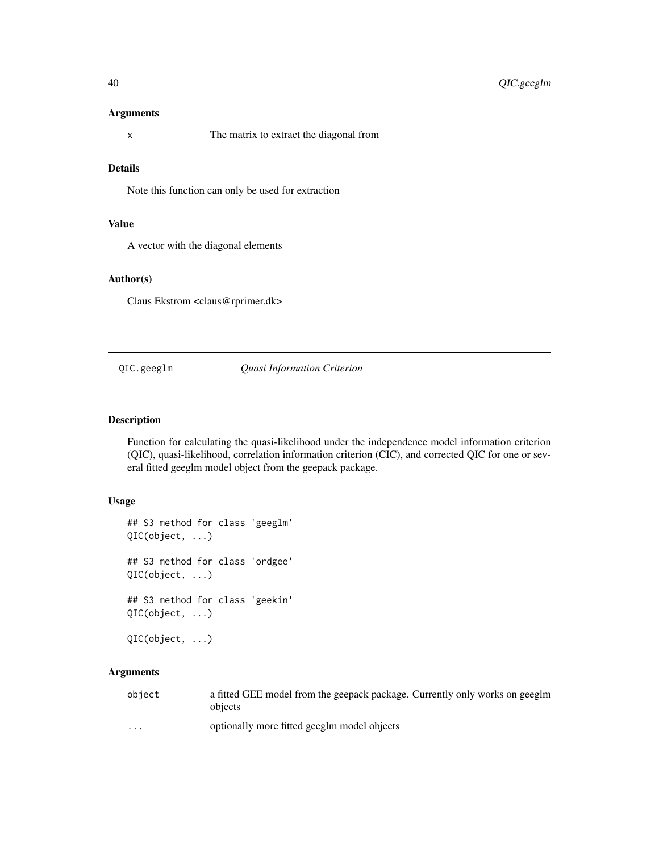#### <span id="page-39-0"></span>Arguments

x The matrix to extract the diagonal from

#### Details

Note this function can only be used for extraction

#### Value

A vector with the diagonal elements

#### Author(s)

Claus Ekstrom <claus@rprimer.dk>

#### QIC.geeglm *Quasi Information Criterion*

#### Description

Function for calculating the quasi-likelihood under the independence model information criterion (QIC), quasi-likelihood, correlation information criterion (CIC), and corrected QIC for one or several fitted geeglm model object from the geepack package.

#### Usage

```
## S3 method for class 'geeglm'
QIC(object, ...)
## S3 method for class 'ordgee'
QIC(object, ...)
## S3 method for class 'geekin'
QIC(object, ...)
QIC(object, ...)
```
#### Arguments

| object                  | a fitted GEE model from the geepack package. Currently only works on geeglm<br>objects |
|-------------------------|----------------------------------------------------------------------------------------|
| $\cdot$ $\cdot$ $\cdot$ | optionally more fitted geeglm model objects                                            |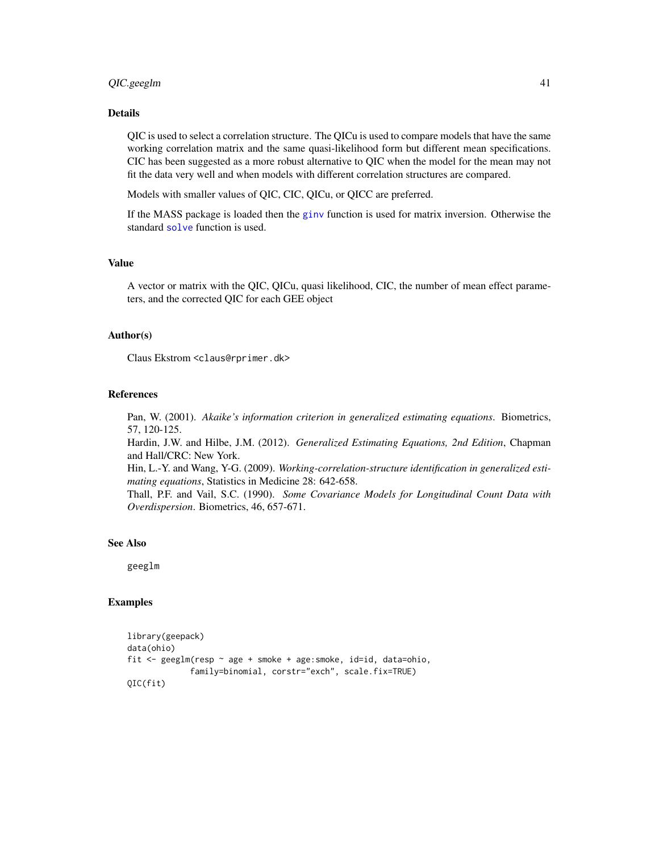#### <span id="page-40-0"></span>QIC.geeglm 41

#### Details

QIC is used to select a correlation structure. The QICu is used to compare models that have the same working correlation matrix and the same quasi-likelihood form but different mean specifications. CIC has been suggested as a more robust alternative to QIC when the model for the mean may not fit the data very well and when models with different correlation structures are compared.

Models with smaller values of QIC, CIC, QICu, or QICC are preferred.

If the MASS package is loaded then the [ginv](#page-0-0) function is used for matrix inversion. Otherwise the standard [solve](#page-0-0) function is used.

#### Value

A vector or matrix with the QIC, QICu, quasi likelihood, CIC, the number of mean effect parameters, and the corrected QIC for each GEE object

#### Author(s)

Claus Ekstrom <claus@rprimer.dk>

#### References

Pan, W. (2001). *Akaike's information criterion in generalized estimating equations*. Biometrics, 57, 120-125.

Hardin, J.W. and Hilbe, J.M. (2012). *Generalized Estimating Equations, 2nd Edition*, Chapman and Hall/CRC: New York.

Hin, L.-Y. and Wang, Y-G. (2009). *Working-correlation-structure identification in generalized estimating equations*, Statistics in Medicine 28: 642-658.

Thall, P.F. and Vail, S.C. (1990). *Some Covariance Models for Longitudinal Count Data with Overdispersion*. Biometrics, 46, 657-671.

#### See Also

geeglm

```
library(geepack)
data(ohio)
fit <- geeglm(resp ~ age + smoke + age:smoke, id=id, data=ohio,
             family=binomial, corstr="exch", scale.fix=TRUE)
QIC(fit)
```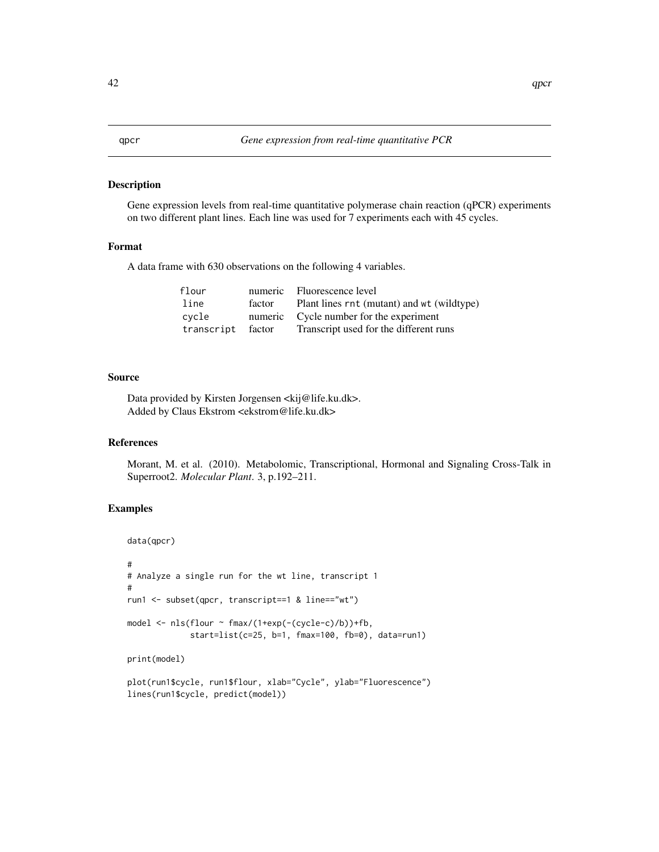<span id="page-41-0"></span>Gene expression levels from real-time quantitative polymerase chain reaction (qPCR) experiments on two different plant lines. Each line was used for 7 experiments each with 45 cycles.

#### Format

A data frame with 630 observations on the following 4 variables.

| flour             |        | numeric Fluorescence level                 |
|-------------------|--------|--------------------------------------------|
| line              | factor | Plant lines rnt (mutant) and wt (wildtype) |
| cvcle             |        | numeric Cycle number for the experiment    |
| transcript factor |        | Transcript used for the different runs     |

#### Source

Data provided by Kirsten Jorgensen <kij@life.ku.dk>. Added by Claus Ekstrom <ekstrom@life.ku.dk>

#### References

Morant, M. et al. (2010). Metabolomic, Transcriptional, Hormonal and Signaling Cross-Talk in Superroot2. *Molecular Plant*. 3, p.192–211.

```
data(qpcr)
#
# Analyze a single run for the wt line, transcript 1
#
run1 <- subset(qpcr, transcript==1 & line=="wt")
model \leq -\text{nls}(\text{four} \sim \text{fmax}/(\text{1+exp}(-(\text{cycle}-c)/b)) + \text{fb},start=list(c=25, b=1, fmax=100, fb=0), data=run1)
print(model)
plot(run1$cycle, run1$flour, xlab="Cycle", ylab="Fluorescence")
lines(run1$cycle, predict(model))
```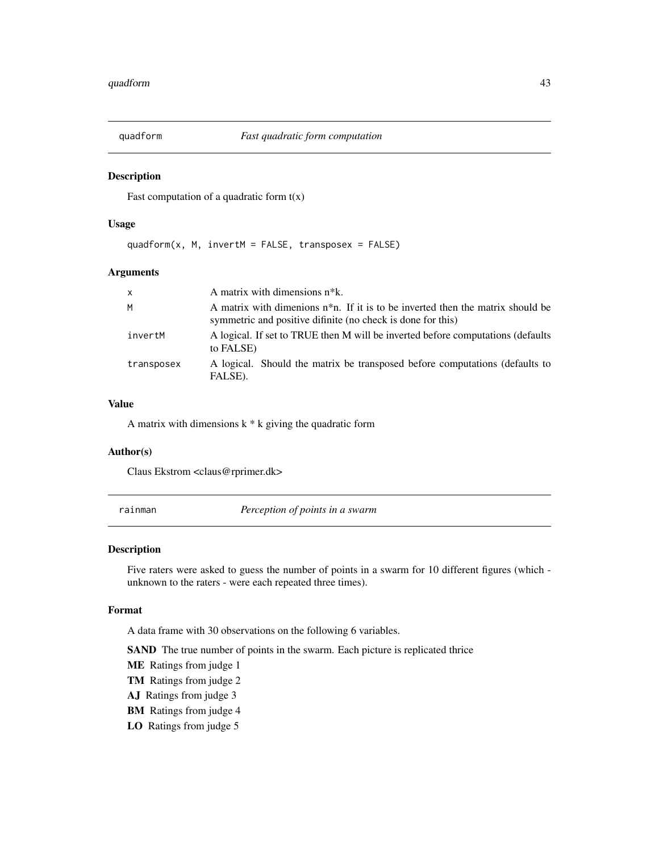<span id="page-42-0"></span>

Fast computation of a quadratic form  $t(x)$ 

#### Usage

quadform(x, M, invertM = FALSE, transposex = FALSE)

#### Arguments

| $\mathsf{x}$ | A matrix with dimensions $n^*k$ .                                                                                                                 |
|--------------|---------------------------------------------------------------------------------------------------------------------------------------------------|
| M            | A matrix with dimenions $n^*n$ . If it is to be inverted then the matrix should be<br>symmetric and positive difinite (no check is done for this) |
| invertM      | A logical. If set to TRUE then M will be inverted before computations (defaults)<br>to FALSE)                                                     |
| transposex   | A logical. Should the matrix be transposed before computations (defaults to<br>FALSE).                                                            |

#### Value

A matrix with dimensions  $k * k$  giving the quadratic form

#### Author(s)

Claus Ekstrom <claus@rprimer.dk>

rainman *Perception of points in a swarm*

#### Description

Five raters were asked to guess the number of points in a swarm for 10 different figures (which unknown to the raters - were each repeated three times).

#### Format

A data frame with 30 observations on the following 6 variables.

SAND The true number of points in the swarm. Each picture is replicated thrice

- ME Ratings from judge 1
- TM Ratings from judge 2
- AJ Ratings from judge 3
- BM Ratings from judge 4
- LO Ratings from judge 5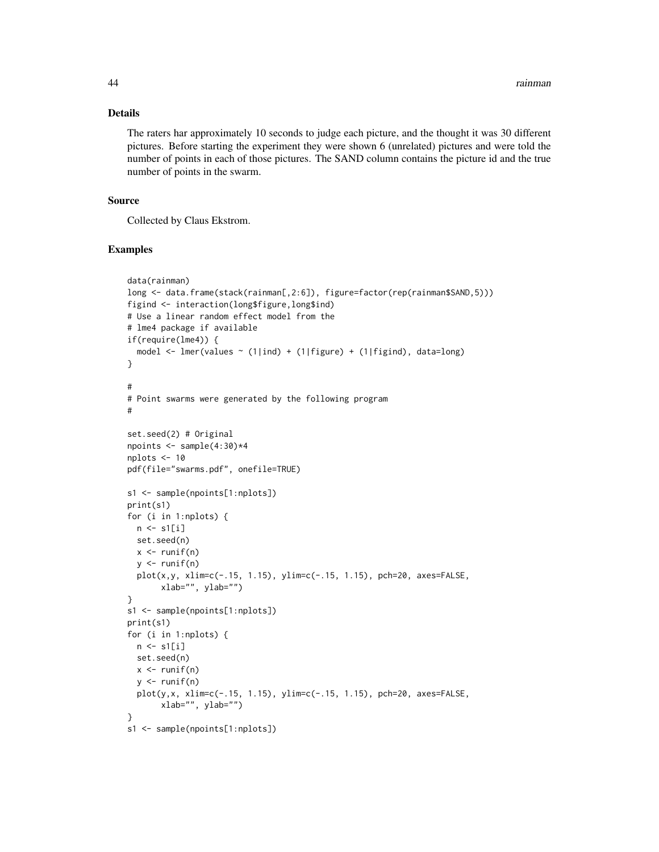#### Details

The raters har approximately 10 seconds to judge each picture, and the thought it was 30 different pictures. Before starting the experiment they were shown 6 (unrelated) pictures and were told the number of points in each of those pictures. The SAND column contains the picture id and the true number of points in the swarm.

#### Source

Collected by Claus Ekstrom.

```
data(rainman)
long <- data.frame(stack(rainman[,2:6]), figure=factor(rep(rainman$SAND,5)))
figind <- interaction(long$figure,long$ind)
# Use a linear random effect model from the
# lme4 package if available
if(require(lme4)) {
  model \leq lmer(values \sim (1|ind) + (1|figure) + (1|figind), data=long)
}
#
# Point swarms were generated by the following program
#
set.seed(2) # Original
npoints \leq sample(4:30)*4
nplots <- 10
pdf(file="swarms.pdf", onefile=TRUE)
s1 <- sample(npoints[1:nplots])
print(s1)
for (i in 1:nplots) {
 n <- s1[i]
 set.seed(n)
 x \leftarrow runif(n)y \leftarrow runif(n)plot(x,y, xlim=c(-.15, 1.15), ylim=c(-.15, 1.15), pch=20, axes=FALSE,
       xlab="", ylab="")
}
s1 <- sample(npoints[1:nplots])
print(s1)
for (i in 1:nplots) {
 n \leftarrow s1[i]set.seed(n)
  x \leftarrow runif(n)y \leftarrow runif(n)plot(y,x, xlim=c(-.15, 1.15), ylim=c(-.15, 1.15), pch=20, axes=FALSE,
       xlab="", ylab="")
}
s1 <- sample(npoints[1:nplots])
```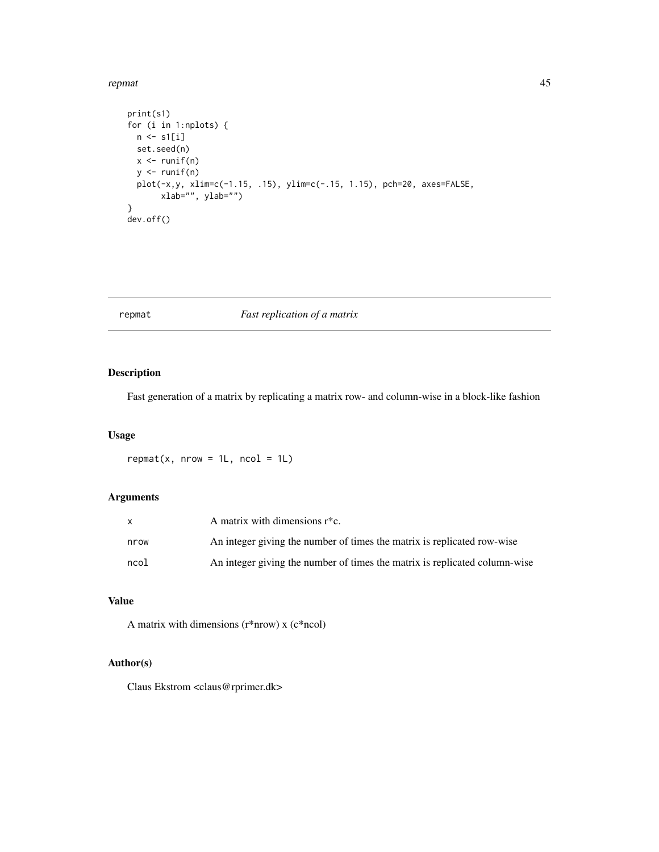#### <span id="page-44-0"></span>repmat 45

```
print(s1)
for (i in 1:nplots) {
 n \leftarrow s1[i]set.seed(n)
  x \leftarrow runif(n)y \leftarrow runif(n)plot(-x,y, xlim=c(-1.15, .15), ylim=c(-.15, 1.15), pch=20, axes=FALSE,
       xlab="", ylab="")
}
dev.off()
```
#### repmat *Fast replication of a matrix*

#### Description

Fast generation of a matrix by replicating a matrix row- and column-wise in a block-like fashion

#### Usage

 $repmat(x, nrow = 1L, ncol = 1L)$ 

#### Arguments

|      | A matrix with dimensions $r^*c$ .                                          |
|------|----------------------------------------------------------------------------|
| nrow | An integer giving the number of times the matrix is replicated row-wise    |
| ncol | An integer giving the number of times the matrix is replicated column-wise |

### Value

A matrix with dimensions (r\*nrow) x (c\*ncol)

#### Author(s)

Claus Ekstrom <claus@rprimer.dk>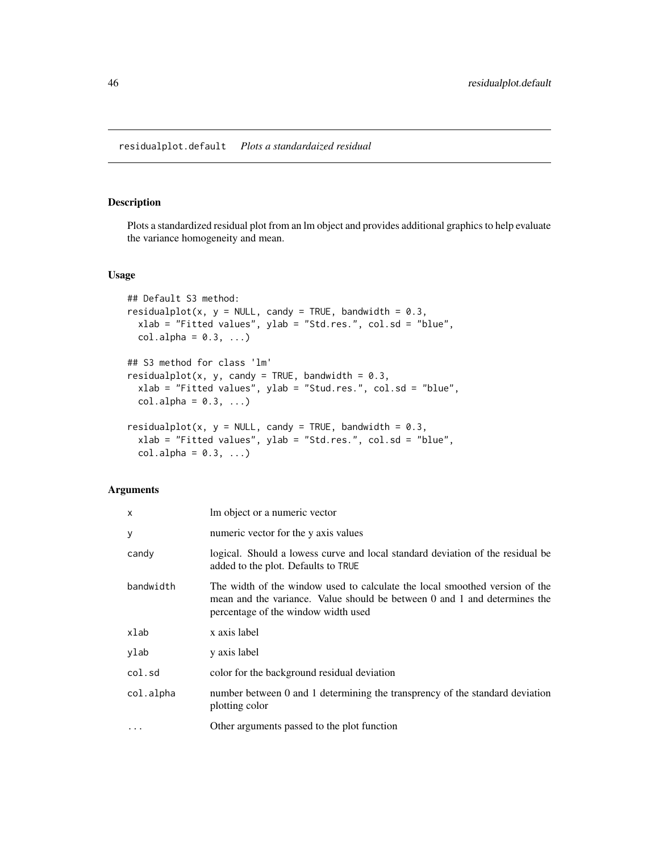<span id="page-45-0"></span>Plots a standardized residual plot from an lm object and provides additional graphics to help evaluate the variance homogeneity and mean.

#### Usage

```
## Default S3 method:
residualplot(x, y = NULL, candy = TRUE, bandwidth = 0.3,
 xlab = "Fitted values", ylab = "Std.res.", col.sd = "blue",
 col.alpha = 0.3, ...)## S3 method for class 'lm'
residualplot(x, y, candy = TRUE, bandwidth = 0.3,
 xlab = "Fitted values", ylab = "Stud.res.", col.sd = "blue",
 col.alpha = 0.3, ...)residualplot(x, y = NULL, candy = TRUE, bandwidth = 0.3,
  xlab = "Fitted values", ylab = "Std.res.", col.sd = "blue",
 col.alpha = 0.3, ...)
```
#### Arguments

| $\mathsf{x}$      | Im object or a numeric vector                                                                                                                                                                   |
|-------------------|-------------------------------------------------------------------------------------------------------------------------------------------------------------------------------------------------|
| У                 | numeric vector for the y axis values                                                                                                                                                            |
| candy             | logical. Should a lowess curve and local standard deviation of the residual be<br>added to the plot. Defaults to TRUE                                                                           |
| bandwidth         | The width of the window used to calculate the local smoothed version of the<br>mean and the variance. Value should be between 0 and 1 and determines the<br>percentage of the window width used |
| xlab              | x axis label                                                                                                                                                                                    |
| ylab              | y axis label                                                                                                                                                                                    |
| col.sd            | color for the background residual deviation                                                                                                                                                     |
| col.alpha         | number between 0 and 1 determining the transprency of the standard deviation<br>plotting color                                                                                                  |
| $\cdot\cdot\cdot$ | Other arguments passed to the plot function                                                                                                                                                     |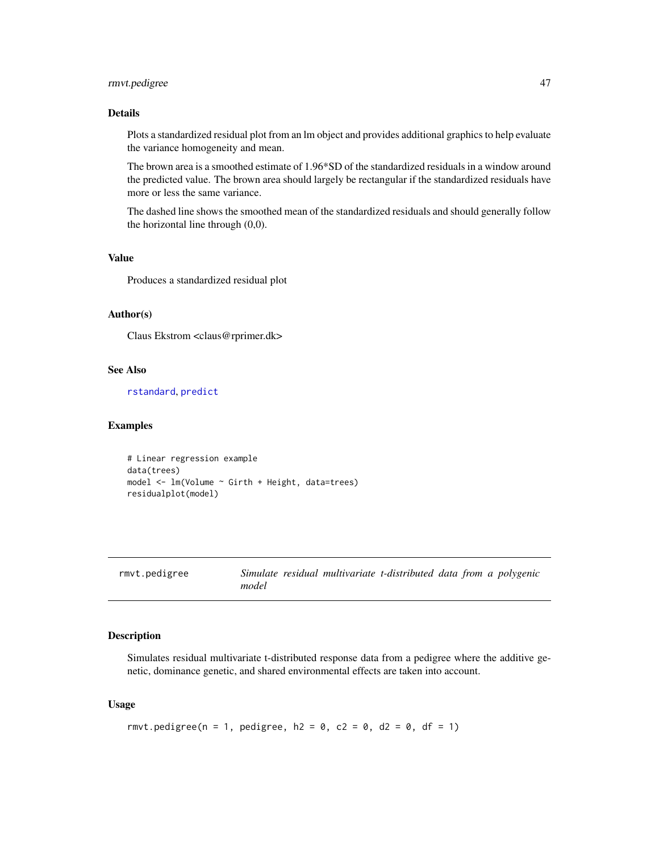#### <span id="page-46-0"></span>rmvt.pedigree 47

#### Details

Plots a standardized residual plot from an lm object and provides additional graphics to help evaluate the variance homogeneity and mean.

The brown area is a smoothed estimate of 1.96\*SD of the standardized residuals in a window around the predicted value. The brown area should largely be rectangular if the standardized residuals have more or less the same variance.

The dashed line shows the smoothed mean of the standardized residuals and should generally follow the horizontal line through (0,0).

#### Value

Produces a standardized residual plot

#### Author(s)

Claus Ekstrom <claus@rprimer.dk>

#### See Also

[rstandard](#page-0-0), [predict](#page-0-0)

#### Examples

```
# Linear regression example
data(trees)
model <- lm(Volume ~ Girth + Height, data=trees)
residualplot(model)
```

| rmvt.pedigree |       | Simulate residual multivariate t-distributed data from a polygenic |  |  |  |
|---------------|-------|--------------------------------------------------------------------|--|--|--|
|               | model |                                                                    |  |  |  |

#### Description

Simulates residual multivariate t-distributed response data from a pedigree where the additive genetic, dominance genetic, and shared environmental effects are taken into account.

#### Usage

```
rmvt.pedigree(n = 1, pedigree, h2 = 0, c2 = 0, d2 = 0, df = 1)
```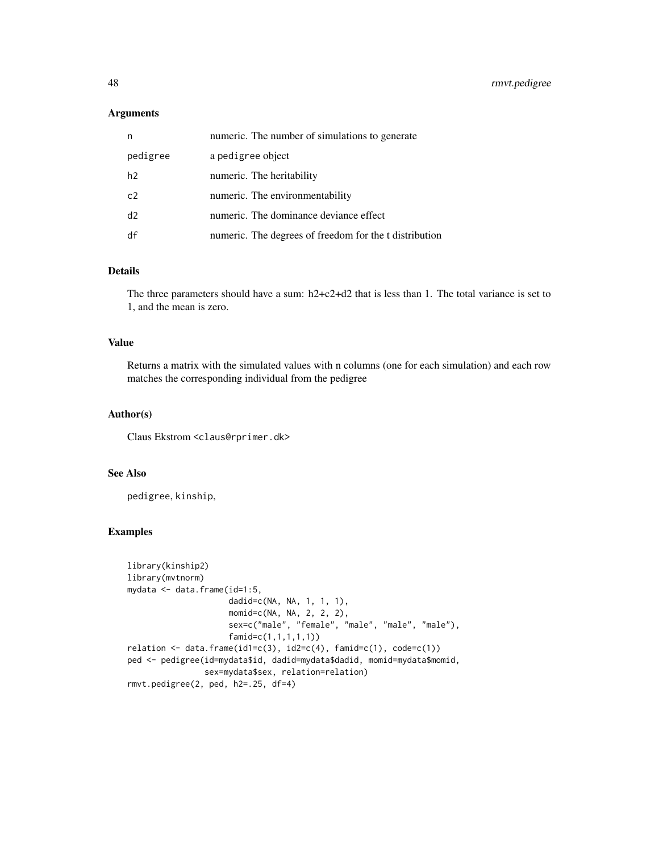#### Arguments

| n        | numeric. The number of simulations to generate         |
|----------|--------------------------------------------------------|
| pedigree | a pedigree object                                      |
| h2       | numeric. The heritability                              |
| c2       | numeric. The environmentability                        |
| d2       | numeric. The dominance deviance effect                 |
| df       | numeric. The degrees of freedom for the t distribution |

#### Details

The three parameters should have a sum: h2+c2+d2 that is less than 1. The total variance is set to 1, and the mean is zero.

#### Value

Returns a matrix with the simulated values with n columns (one for each simulation) and each row matches the corresponding individual from the pedigree

#### Author(s)

Claus Ekstrom <claus@rprimer.dk>

#### See Also

pedigree, kinship,

```
library(kinship2)
library(mvtnorm)
mydata <- data.frame(id=1:5,
                     dadid=c(NA, NA, 1, 1, 1),
                     momid=c(NA, NA, 2, 2, 2),
                     sex=c("male", "female", "male", "male", "male"),
                     famid=c(1,1,1,1,1))
relation \leftarrow data frame(id1=c(3), id2=c(4), famil=c(1), code=c(1))ped <- pedigree(id=mydata$id, dadid=mydata$dadid, momid=mydata$momid,
                sex=mydata$sex, relation=relation)
rmvt.pedigree(2, ped, h2=.25, df=4)
```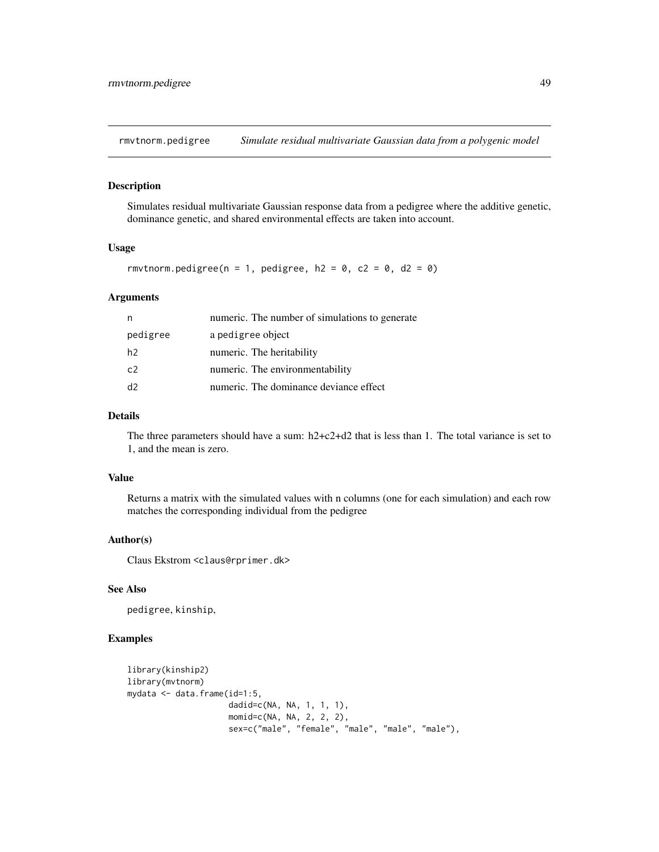<span id="page-48-0"></span>rmvtnorm.pedigree *Simulate residual multivariate Gaussian data from a polygenic model*

#### Description

Simulates residual multivariate Gaussian response data from a pedigree where the additive genetic, dominance genetic, and shared environmental effects are taken into account.

#### Usage

```
rmvtnorm.pedigree(n = 1, pedigree, h2 = 0, c2 = 0, d2 = 0)
```
#### Arguments

| n              | numeric. The number of simulations to generate |
|----------------|------------------------------------------------|
| pedigree       | a pedigree object                              |
| h2             | numeric. The heritability                      |
| c2             | numeric. The environmentability                |
| d <sub>2</sub> | numeric. The dominance deviance effect         |
|                |                                                |

#### Details

The three parameters should have a sum: h2+c2+d2 that is less than 1. The total variance is set to 1, and the mean is zero.

#### Value

Returns a matrix with the simulated values with n columns (one for each simulation) and each row matches the corresponding individual from the pedigree

#### Author(s)

Claus Ekstrom <claus@rprimer.dk>

#### See Also

pedigree, kinship,

```
library(kinship2)
library(mvtnorm)
mydata <- data.frame(id=1:5,
                     dadid=c(NA, NA, 1, 1, 1),
                     momid=c(NA, NA, 2, 2, 2),
                     sex=c("male", "female", "male", "male", "male"),
```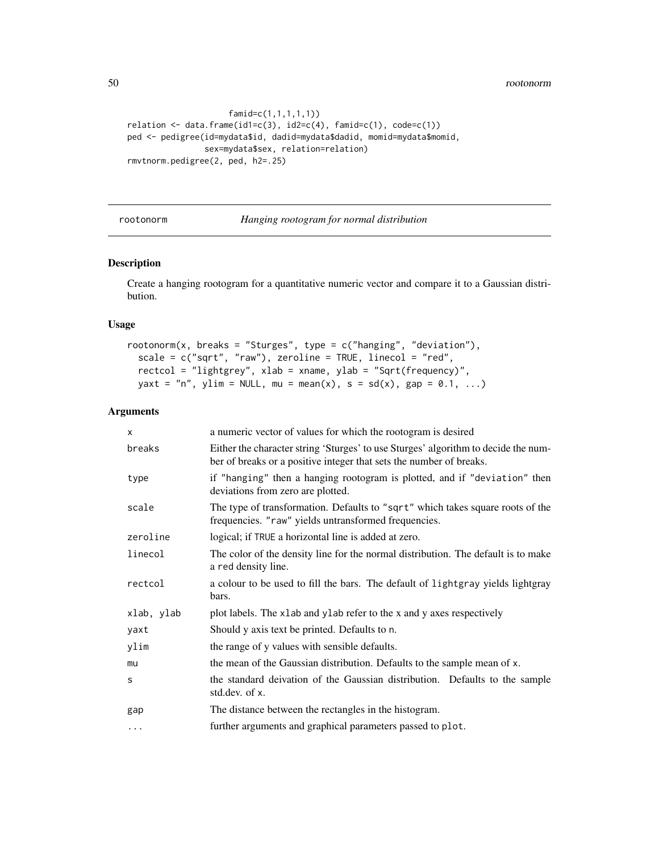50 rootonorm

```
famid=c(1,1,1,1,1))
relation \leftarrow data-frame(id1=c(3), id2=c(4), famil=c(1), code=c(1))ped <- pedigree(id=mydata$id, dadid=mydata$dadid, momid=mydata$momid,
                sex=mydata$sex, relation=relation)
rmvtnorm.pedigree(2, ped, h2=.25)
```
rootonorm *Hanging rootogram for normal distribution*

#### Description

Create a hanging rootogram for a quantitative numeric vector and compare it to a Gaussian distribution.

#### Usage

```
rootonorm(x, breaks = "Sturges", type = c("hanging", "deviation"),scale = c("sqrt", "raw"), zeroline = TRUE, linecol = "red",rectcol = "lightgrey", xlab = xname, ylab = "Sqrt(frequency)",
 yaxt = "n", ylim = NULL, mu = mean(x), s = sd(x), gap = 0.1, ...)
```
#### Arguments

| X          | a numeric vector of values for which the rootogram is desired                                                                                             |  |  |
|------------|-----------------------------------------------------------------------------------------------------------------------------------------------------------|--|--|
| breaks     | Either the character string 'Sturges' to use Sturges' algorithm to decide the num-<br>ber of breaks or a positive integer that sets the number of breaks. |  |  |
| type       | if "hanging" then a hanging rootogram is plotted, and if "deviation" then<br>deviations from zero are plotted.                                            |  |  |
| scale      | The type of transformation. Defaults to "sqrt" which takes square roots of the<br>frequencies. "raw" yields untransformed frequencies.                    |  |  |
| zeroline   | logical; if TRUE a horizontal line is added at zero.                                                                                                      |  |  |
| linecol    | The color of the density line for the normal distribution. The default is to make<br>a red density line.                                                  |  |  |
| rectcol    | a colour to be used to fill the bars. The default of lightgray yields lightgray<br>bars.                                                                  |  |  |
| xlab, ylab | plot labels. The x1ab and y1ab refer to the x and y axes respectively                                                                                     |  |  |
| yaxt       | Should y axis text be printed. Defaults to n.                                                                                                             |  |  |
| ylim       | the range of y values with sensible defaults.                                                                                                             |  |  |
| mu         | the mean of the Gaussian distribution. Defaults to the sample mean of x.                                                                                  |  |  |
| s          | the standard deivation of the Gaussian distribution. Defaults to the sample<br>std.dev. of x.                                                             |  |  |
| gap        | The distance between the rectangles in the histogram.                                                                                                     |  |  |
| $\cdots$   | further arguments and graphical parameters passed to plot.                                                                                                |  |  |

<span id="page-49-0"></span>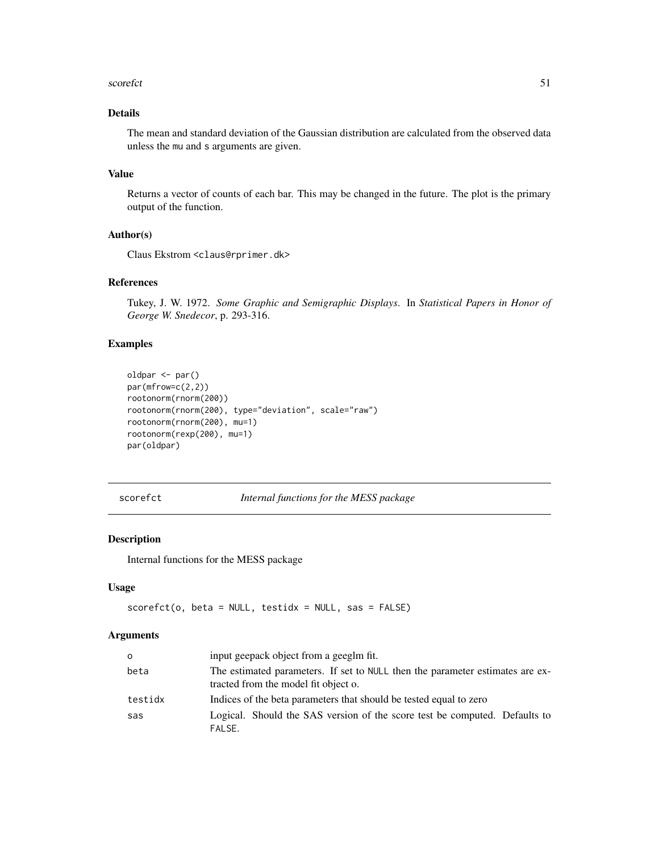#### <span id="page-50-0"></span>scorefct 51

#### Details

The mean and standard deviation of the Gaussian distribution are calculated from the observed data unless the mu and s arguments are given.

#### Value

Returns a vector of counts of each bar. This may be changed in the future. The plot is the primary output of the function.

#### Author(s)

Claus Ekstrom <claus@rprimer.dk>

#### References

Tukey, J. W. 1972. *Some Graphic and Semigraphic Displays*. In *Statistical Papers in Honor of George W. Snedecor*, p. 293-316.

#### Examples

```
oldpar <- par()
par(mfrow=c(2,2))
rootonorm(rnorm(200))
rootonorm(rnorm(200), type="deviation", scale="raw")
rootonorm(rnorm(200), mu=1)
rootonorm(rexp(200), mu=1)
par(oldpar)
```
scorefct *Internal functions for the MESS package*

#### Description

Internal functions for the MESS package

#### Usage

```
scorefct(o, beta = NULL, testidx = NULL, sas = FALSE)
```
#### Arguments

| $\Omega$ | input geepack object from a geeglm fit.                                                                               |
|----------|-----------------------------------------------------------------------------------------------------------------------|
| beta     | The estimated parameters. If set to NULL then the parameter estimates are ex-<br>tracted from the model fit object o. |
| testidx  | Indices of the beta parameters that should be tested equal to zero                                                    |
| sas      | Logical. Should the SAS version of the score test be computed. Defaults to<br>FALSE.                                  |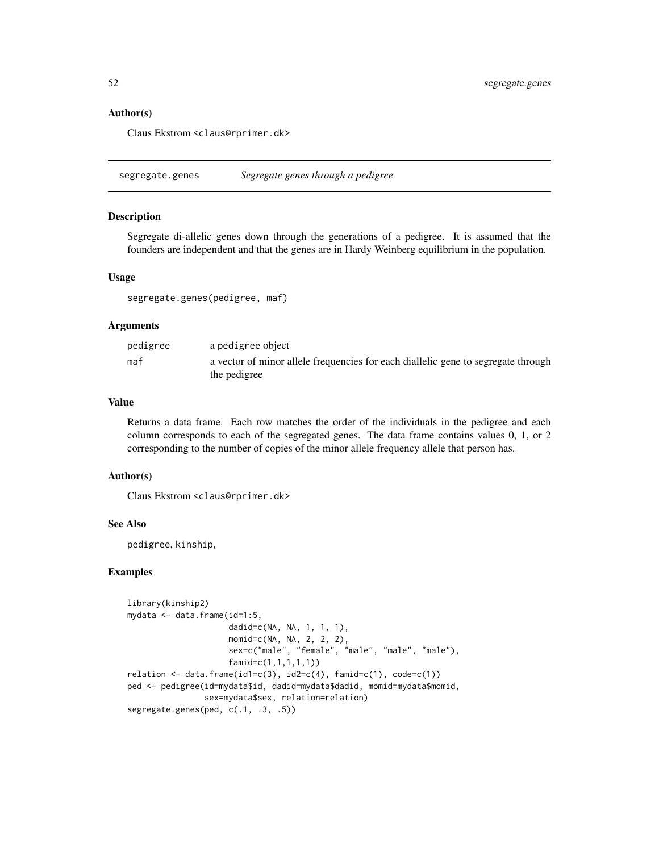#### Author(s)

Claus Ekstrom <claus@rprimer.dk>

segregate.genes *Segregate genes through a pedigree*

#### Description

Segregate di-allelic genes down through the generations of a pedigree. It is assumed that the founders are independent and that the genes are in Hardy Weinberg equilibrium in the population.

#### Usage

segregate.genes(pedigree, maf)

#### Arguments

| pedigree | a pedigree object                                                                 |
|----------|-----------------------------------------------------------------------------------|
| maf      | a vector of minor allele frequencies for each diallelic gene to segregate through |
|          | the pedigree                                                                      |

#### Value

Returns a data frame. Each row matches the order of the individuals in the pedigree and each column corresponds to each of the segregated genes. The data frame contains values 0, 1, or 2 corresponding to the number of copies of the minor allele frequency allele that person has.

#### Author(s)

Claus Ekstrom <claus@rprimer.dk>

#### See Also

pedigree, kinship,

```
library(kinship2)
mydata <- data.frame(id=1:5,
                     dadid=c(NA, NA, 1, 1, 1),
                     momid=c(NA, NA, 2, 2, 2),
                     sex=c("male", "female", "male", "male", "male"),
                     famid=c(1,1,1,1,1))
relation \leftarrow data-frame(id1=c(3), id2=c(4), famil=c(1), code=c(1))ped <- pedigree(id=mydata$id, dadid=mydata$dadid, momid=mydata$momid,
                sex=mydata$sex, relation=relation)
segregate.genes(ped, c(.1, .3, .5))
```
<span id="page-51-0"></span>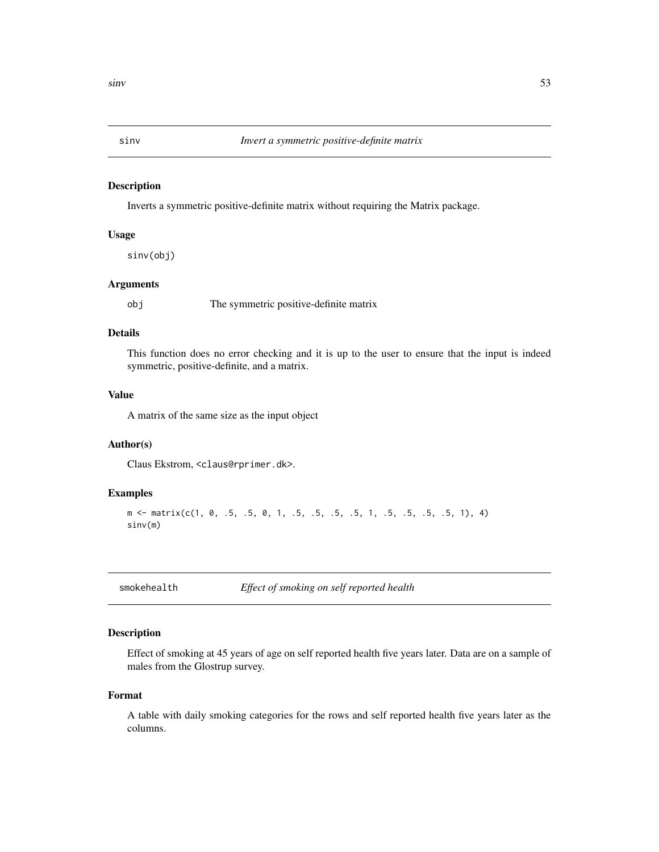<span id="page-52-0"></span>

Inverts a symmetric positive-definite matrix without requiring the Matrix package.

#### Usage

sinv(obj)

#### Arguments

obj The symmetric positive-definite matrix

#### Details

This function does no error checking and it is up to the user to ensure that the input is indeed symmetric, positive-definite, and a matrix.

#### Value

A matrix of the same size as the input object

#### Author(s)

Claus Ekstrom, <claus@rprimer.dk>.

#### Examples

```
m \le matrix(c(1, 0, .5, .5, 0, 1, .5, .5, .5, .5, 1, .5, .5, .5, .5, 1), 4)
sinv(m)
```
smokehealth *Effect of smoking on self reported health*

#### Description

Effect of smoking at 45 years of age on self reported health five years later. Data are on a sample of males from the Glostrup survey.

#### Format

A table with daily smoking categories for the rows and self reported health five years later as the columns.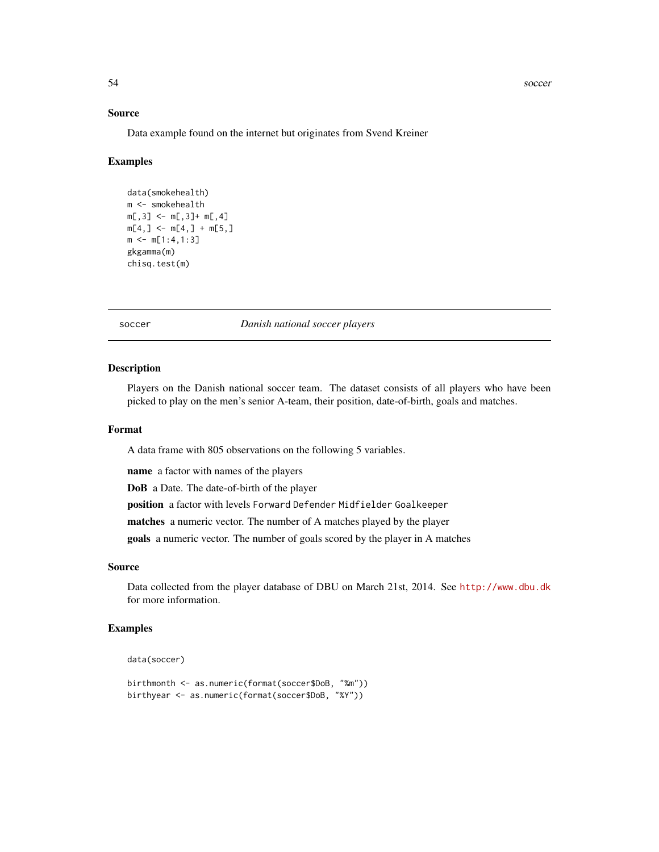#### <span id="page-53-0"></span>54 soccer social state of the state of the state of the state state state state state state state state state of the state state state state state state state state state state state state state state state state state sta

#### Source

Data example found on the internet but originates from Svend Kreiner

#### Examples

```
data(smokehealth)
m <- smokehealth
m[, 3] <- m[, 3]+ m[, 4]m[4, ] \leq m[4, ] + m[5, ]m \le m[1:4,1:3]gkgamma(m)
chisq.test(m)
```
soccer *Danish national soccer players*

#### Description

Players on the Danish national soccer team. The dataset consists of all players who have been picked to play on the men's senior A-team, their position, date-of-birth, goals and matches.

#### Format

A data frame with 805 observations on the following 5 variables.

name a factor with names of the players

DoB a Date. The date-of-birth of the player

position a factor with levels Forward Defender Midfielder Goalkeeper

matches a numeric vector. The number of A matches played by the player

goals a numeric vector. The number of goals scored by the player in A matches

#### Source

Data collected from the player database of DBU on March 21st, 2014. See <http://www.dbu.dk> for more information.

```
data(soccer)
```

```
birthmonth <- as.numeric(format(soccer$DoB, "%m"))
birthyear <- as.numeric(format(soccer$DoB, "%Y"))
```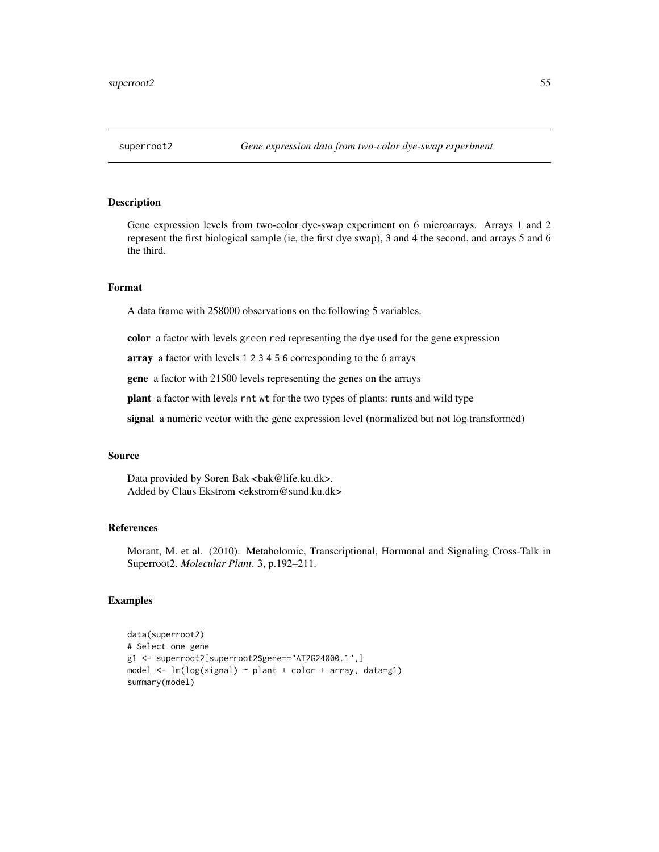<span id="page-54-0"></span>Gene expression levels from two-color dye-swap experiment on 6 microarrays. Arrays 1 and 2 represent the first biological sample (ie, the first dye swap), 3 and 4 the second, and arrays 5 and 6 the third.

#### Format

A data frame with 258000 observations on the following 5 variables.

color a factor with levels green red representing the dye used for the gene expression

array a factor with levels 1 2 3 4 5 6 corresponding to the 6 arrays

gene a factor with 21500 levels representing the genes on the arrays

plant a factor with levels rnt wt for the two types of plants: runts and wild type

signal a numeric vector with the gene expression level (normalized but not log transformed)

#### Source

Data provided by Soren Bak <br/> <br/>bak@life.ku.dk>. Added by Claus Ekstrom <ekstrom@sund.ku.dk>

#### References

Morant, M. et al. (2010). Metabolomic, Transcriptional, Hormonal and Signaling Cross-Talk in Superroot2. *Molecular Plant*. 3, p.192–211.

```
data(superroot2)
# Select one gene
g1 <- superroot2[superroot2$gene=="AT2G24000.1",]
model <- lm(log(signal) ~ plant + color + array, data=g1)
summary(model)
```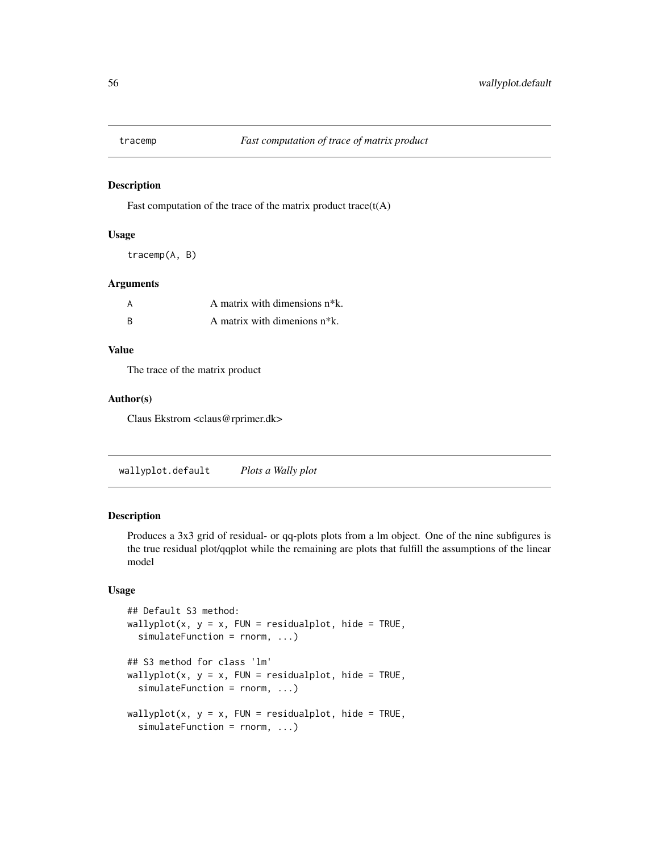<span id="page-55-0"></span>

Fast computation of the trace of the matrix product trace $(t(A))$ 

#### Usage

tracemp(A, B)

#### Arguments

| A | A matrix with dimensions n <sup>*</sup> k. |
|---|--------------------------------------------|
| B | A matrix with dimenions $n*k$ .            |

#### Value

The trace of the matrix product

#### Author(s)

Claus Ekstrom <claus@rprimer.dk>

wallyplot.default *Plots a Wally plot*

#### Description

Produces a 3x3 grid of residual- or qq-plots plots from a lm object. One of the nine subfigures is the true residual plot/qqplot while the remaining are plots that fulfill the assumptions of the linear model

#### Usage

```
## Default S3 method:
wallyplot(x, y = x, FUN = residualplot, hide = TRUE,
  simulateFunction = rnorm, ...)
## S3 method for class 'lm'
wallyplot(x, y = x, FUN = residualplot, hide = TRUE,
  simulateFunction = rnorm, ...)
wallyplot(x, y = x, FUN = residualplot, hide = TRUE,
  simulateFunction = rnorm, ...)
```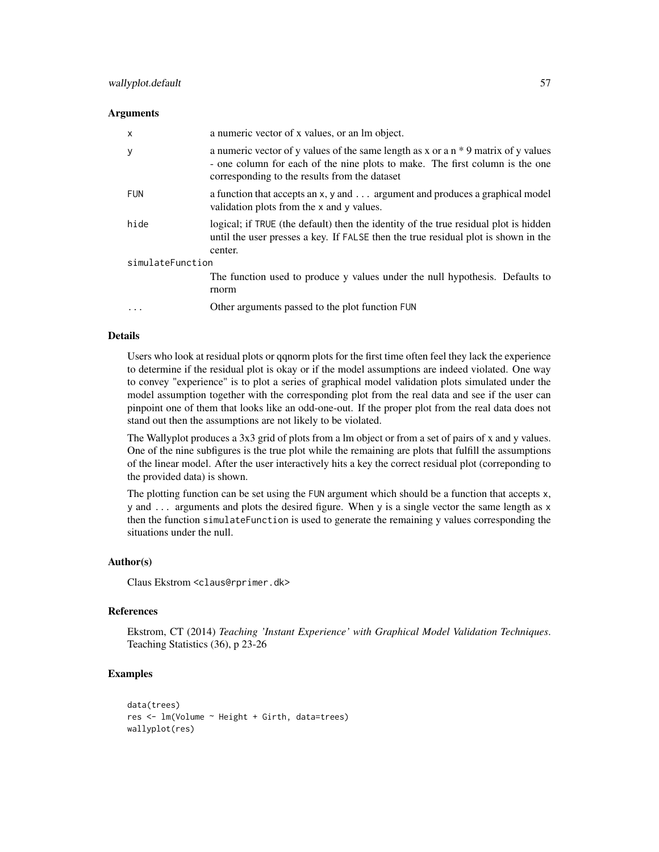#### **Arguments**

| $\mathsf{x}$     | a numeric vector of x values, or an lm object.                                                                                                                                                                        |  |  |
|------------------|-----------------------------------------------------------------------------------------------------------------------------------------------------------------------------------------------------------------------|--|--|
| y                | a numeric vector of y values of the same length as x or a $n * 9$ matrix of y values<br>- one column for each of the nine plots to make. The first column is the one<br>corresponding to the results from the dataset |  |  |
| FUN              | a function that accepts an x, y and argument and produces a graphical model<br>validation plots from the x and y values.                                                                                              |  |  |
| hide             | logical; if TRUE (the default) then the identity of the true residual plot is hidden<br>until the user presses a key. If FALSE then the true residual plot is shown in the<br>center.                                 |  |  |
| simulateFunction |                                                                                                                                                                                                                       |  |  |
|                  | The function used to produce y values under the null hypothesis. Defaults to<br>rnorm                                                                                                                                 |  |  |
| $\cdots$         | Other arguments passed to the plot function FUN                                                                                                                                                                       |  |  |

#### Details

Users who look at residual plots or qqnorm plots for the first time often feel they lack the experience to determine if the residual plot is okay or if the model assumptions are indeed violated. One way to convey "experience" is to plot a series of graphical model validation plots simulated under the model assumption together with the corresponding plot from the real data and see if the user can pinpoint one of them that looks like an odd-one-out. If the proper plot from the real data does not stand out then the assumptions are not likely to be violated.

The Wallyplot produces a 3x3 grid of plots from a lm object or from a set of pairs of x and y values. One of the nine subfigures is the true plot while the remaining are plots that fulfill the assumptions of the linear model. After the user interactively hits a key the correct residual plot (correponding to the provided data) is shown.

The plotting function can be set using the FUN argument which should be a function that accepts x, y and ... arguments and plots the desired figure. When y is a single vector the same length as x then the function simulateFunction is used to generate the remaining y values corresponding the situations under the null.

#### Author(s)

Claus Ekstrom <claus@rprimer.dk>

#### References

Ekstrom, CT (2014) *Teaching 'Instant Experience' with Graphical Model Validation Techniques*. Teaching Statistics (36), p 23-26

```
data(trees)
res <- lm(Volume ~ Height + Girth, data=trees)
wallyplot(res)
```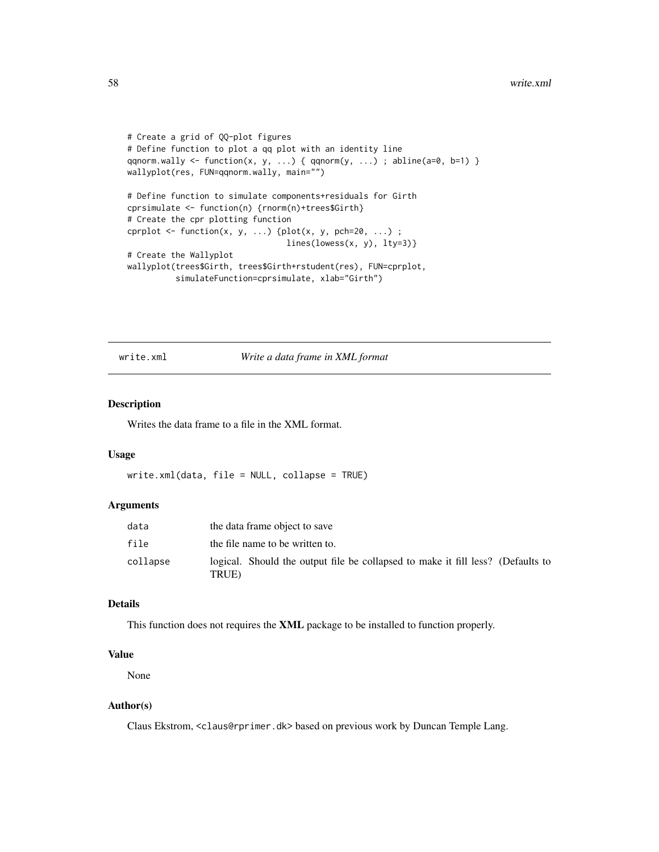```
# Create a grid of QQ-plot figures
# Define function to plot a qq plot with an identity line
qqnorm.wally \leq function(x, y, ...) { qqnorm(y, ...) ; abline(a=0, b=1) }
wallyplot(res, FUN=qqnorm.wally, main="")
# Define function to simulate components+residuals for Girth
cprsimulate <- function(n) {rnorm(n)+trees$Girth}
# Create the cpr plotting function
cprplot \leq function(x, y, ...) {plot(x, y, pch=20, ...) ;
                                 lines(lowess(x, y), lty=3)}
# Create the Wallyplot
wallyplot(trees$Girth, trees$Girth+rstudent(res), FUN=cprplot,
          simulateFunction=cprsimulate, xlab="Girth")
```
write.xml *Write a data frame in XML format*

#### Description

Writes the data frame to a file in the XML format.

#### Usage

write.xml(data, file = NULL, collapse = TRUE)

#### Arguments

| data     | the data frame object to save                                                            |
|----------|------------------------------------------------------------------------------------------|
| file     | the file name to be written to.                                                          |
| collapse | logical. Should the output file be collapsed to make it fill less? (Defaults to<br>TRUE) |

#### Details

This function does not requires the XML package to be installed to function properly.

#### Value

None

#### Author(s)

Claus Ekstrom, <claus@rprimer.dk> based on previous work by Duncan Temple Lang.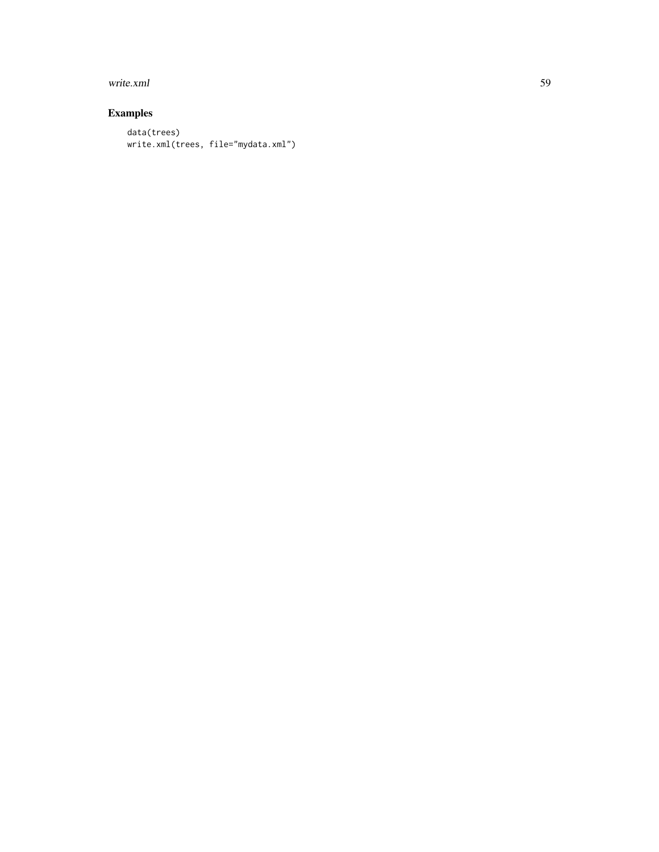#### write.xml 59

```
data(trees)
write.xml(trees, file="mydata.xml")
```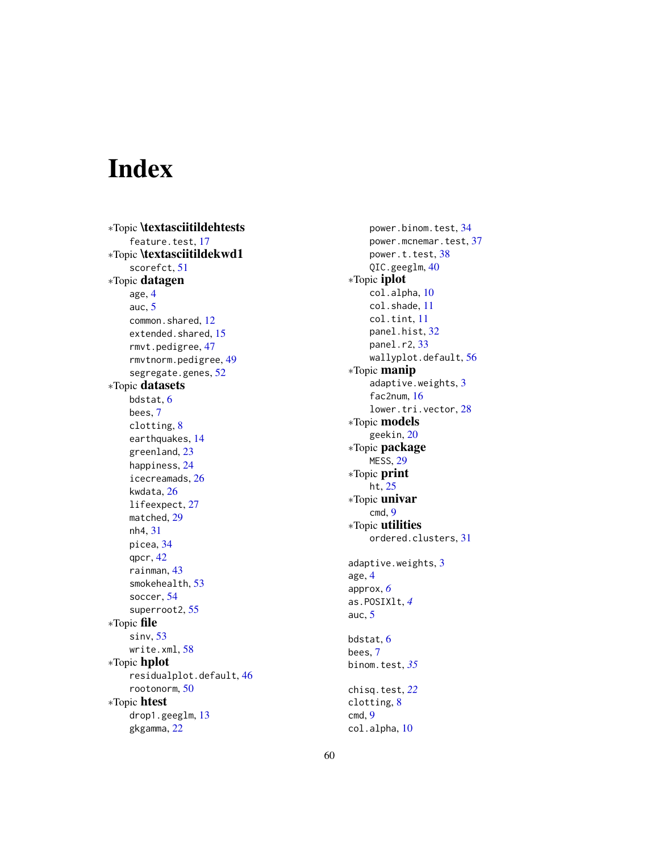# <span id="page-59-0"></span>Index

∗Topic \textasciitildehtests feature.test, [17](#page-16-0) ∗Topic \textasciitildekwd1 scorefct , [51](#page-50-0) ∗Topic datagen age , [4](#page-3-0) auc , [5](#page-4-0) common.shared, [12](#page-11-0) extended.shared, [15](#page-14-0) rmvt.pedigree , [47](#page-46-0) rmvtnorm.pedigree , [49](#page-48-0) segregate.genes, [52](#page-51-0) ∗Topic datasets bdstat , [6](#page-5-0) bees , [7](#page-6-0) clotting , [8](#page-7-0) earthquakes , [14](#page-13-0) greenland , [23](#page-22-0) happiness , [24](#page-23-0) icecreamads , [26](#page-25-0) kwdata , [26](#page-25-0) lifeexpect , [27](#page-26-0) matched, [29](#page-28-0) nh4 , [31](#page-30-0) picea , [34](#page-33-0) qpcr , [42](#page-41-0) rainman , [43](#page-42-0) smokehealth , [53](#page-52-0) soccer , [54](#page-53-0) superroot2 , [55](#page-54-0) ∗Topic file sinv , [53](#page-52-0) write.xml , [58](#page-57-0) ∗Topic hplot residualplot.default , [46](#page-45-0) rootonorm , [50](#page-49-0) ∗Topic htest drop1.geeglm , [13](#page-12-0) gkgamma , [22](#page-21-0)

power.binom.test , [34](#page-33-0) power.mcnemar.test, [37](#page-36-0) power.t.test, [38](#page-37-0) QIC.geeglm, [40](#page-39-0) ∗Topic iplot col.alpha , [10](#page-9-0) col.shade , [11](#page-10-0) col.tint , [11](#page-10-0) panel.hist , [32](#page-31-0) panel.r2, [33](#page-32-0) wallyplot.default, [56](#page-55-0) ∗Topic manip adaptive.weights, [3](#page-2-0) fac2num , [16](#page-15-0) lower.tri.vector , [28](#page-27-0) ∗Topic models geekin, [20](#page-19-0) ∗Topic package MESS , [29](#page-28-0) ∗Topic print ht , [25](#page-24-0) ∗Topic univar cmd , [9](#page-8-0) ∗Topic utilities ordered.clusters , [31](#page-30-0) adaptive.weights , [3](#page-2-0) age , [4](#page-3-0) approx , *[6](#page-5-0)* as.POSIXlt , *[4](#page-3-0)* auc , [5](#page-4-0) bdstat , [6](#page-5-0) bees , [7](#page-6-0) binom.test , *[35](#page-34-0)* chisq.test , *[22](#page-21-0)* clotting , [8](#page-7-0) cmd , [9](#page-8-0) col.alpha , [10](#page-9-0)